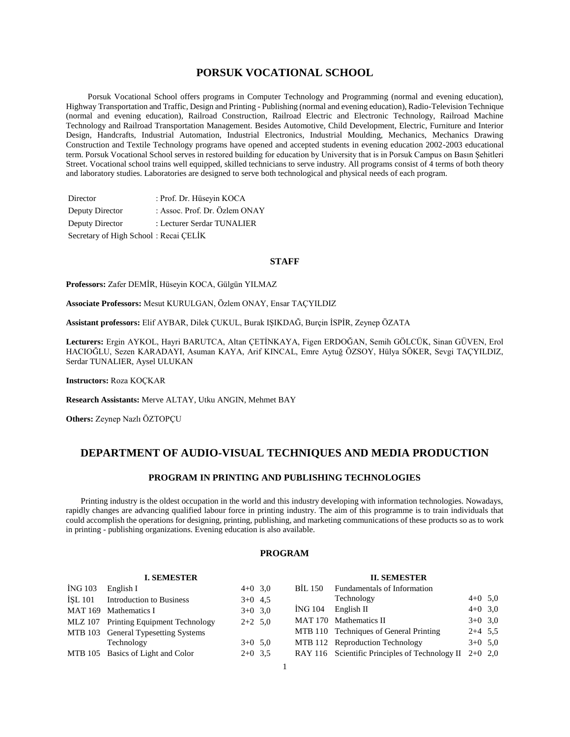# **PORSUK VOCATIONAL SCHOOL**

 Porsuk Vocational School offers programs in Computer Technology and Programming (normal and evening education), Highway Transportation and Traffic, Design and Printing - Publishing (normal and evening education), Radio-Television Technique (normal and evening education), Railroad Construction, Railroad Electric and Electronic Technology, Railroad Machine Technology and Railroad Transportation Management. Besides Automotive, Child Development, Electric, Furniture and Interior Design, Handcrafts, Industrial Automation, Industrial Electronics, Industrial Moulding, Mechanics, Mechanics Drawing Construction and Textile Technology programs have opened and accepted students in evening education 2002-2003 educational term. Porsuk Vocational School serves in restored building for education by University that is in Porsuk Campus on Basın Şehitleri Street. Vocational school trains well equipped, skilled technicians to serve industry. All programs consist of 4 terms of both theory and laboratory studies. Laboratories are designed to serve both technological and physical needs of each program.

| Director                              | : Prof. Dr. Hüseyin KOCA      |
|---------------------------------------|-------------------------------|
| Deputy Director                       | : Assoc. Prof. Dr. Özlem ONAY |
| Deputy Director                       | : Lecturer Serdar TUNALIER    |
| Secretary of High School: Recai CELİK |                               |

#### **STAFF**

**Professors:** Zafer DEMİR, Hüseyin KOCA, Gülgün YILMAZ

**Associate Professors:** Mesut KURULGAN, Özlem ONAY, Ensar TAÇYILDIZ

**Assistant professors:** Elif AYBAR, Dilek ÇUKUL, Burak IŞIKDAĞ, Burçin İSPİR, Zeynep ÖZATA

**Lecturers:** Ergin AYKOL, Hayri BARUTCA, Altan ÇETİNKAYA, Figen ERDOĞAN, Semih GÖLCÜK, Sinan GÜVEN, Erol HACIOĞLU, Sezen KARADAYI, Asuman KAYA, Arif KINCAL, Emre Aytuğ ÖZSOY, Hülya SÖKER, Sevgi TAÇYILDIZ, Serdar TUNALIER, Aysel ULUKAN

**Instructors:** Roza KOÇKAR

**Research Assistants:** Merve ALTAY, Utku ANGIN, Mehmet BAY

**I. SEMESTER**

**Others:** Zeynep Nazlı ÖZTOPÇU

# **DEPARTMENT OF AUDIO-VISUAL TECHNIQUES AND MEDIA PRODUCTION**

# **PROGRAM IN PRINTING AND PUBLISHING TECHNOLOGIES**

 Printing industry is the oldest occupation in the world and this industry developing with information technologies. Nowadays, rapidly changes are advancing qualified labour force in printing industry. The aim of this programme is to train individuals that could accomplish the operations for designing, printing, publishing, and marketing communications of these products so as to work in printing - publishing organizations. Evening education is also available.

# **PROGRAM**

#### **II. SEMESTER**

| 1. DEMIED I EIN |                                       |           |         | п. эрлемет                                               |           |  |
|-----------------|---------------------------------------|-----------|---------|----------------------------------------------------------|-----------|--|
| ING 103         | English I                             | $4+0$ 3,0 | BIL 150 | Fundamentals of Information                              |           |  |
| ISL 101         | Introduction to Business              | $3+0$ 4.5 |         | Technology                                               | $4+0$ 5,0 |  |
|                 | MAT 169 Mathematics I                 | $3+0$ 3,0 | ING 104 | English II                                               | $4+0$ 3,0 |  |
|                 | MLZ 107 Printing Equipment Technology | $2+2$ 5.0 |         | MAT 170 Mathematics II                                   | $3+0$ 3,0 |  |
|                 | MTB 103 General Typesetting Systems   |           |         | MTB 110 Techniques of General Printing                   | $2+4$ 5.5 |  |
|                 | Technology                            | $3+0$ 5,0 |         | MTB 112 Reproduction Technology                          | $3+0$ 5,0 |  |
|                 | MTB 105 Basics of Light and Color     | $2+0$ 3.5 |         | RAY 116 Scientific Principles of Technology II $2+0$ 2,0 |           |  |
|                 |                                       |           |         |                                                          |           |  |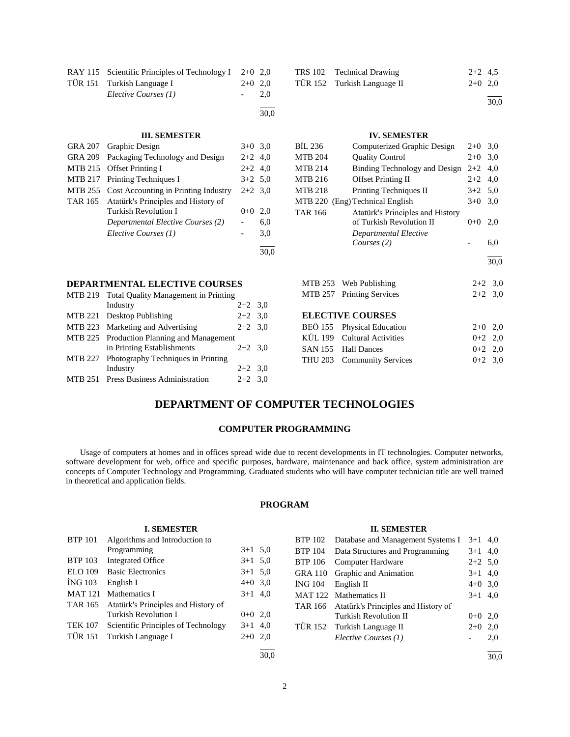| RAY 115 Scientific Principles of Technology I $2+0$ 2,0 |           |      |
|---------------------------------------------------------|-----------|------|
| TÜR 151 Turkish Language I                              | $2+0$ 2.0 |      |
| Elective Courses (1)                                    |           | 2.0  |
|                                                         |           | 30.0 |

#### **III. SEMESTER**

| GRA 207 Graphic Design                       | $3+0$ 3.0 |     |
|----------------------------------------------|-----------|-----|
| GRA 209 Packaging Technology and Design      | $2+2$ 4,0 |     |
| MTB 215 Offset Printing I                    | $2+2$ 4,0 |     |
| MTB 217 Printing Techniques I                | $3+2$ 5,0 |     |
| MTB 255 Cost Accounting in Printing Industry | $2+2$ 3.0 |     |
| TAR 165 Atatürk's Principles and History of  |           |     |
| Turkish Revolution I                         | $0+0$     | 2,0 |
| Departmental Elective Courses (2)            |           | 6,0 |
| Elective Courses (1)                         |           | 3,0 |
|                                              |           |     |

# **DEPARTMENTAL ELECTIVE COURSES**

| MTB 219 Total Quality Management in Printing |           |  |
|----------------------------------------------|-----------|--|
| Industry                                     | $2+2$ 3.0 |  |
| MTB 221 Desktop Publishing                   | $2+2$ 3.0 |  |
| MTB 223 Marketing and Advertising            | $2+2$ 3.0 |  |
| MTB 225 Production Planning and Management   |           |  |
| in Printing Establishments                   | $2+2$ 3.0 |  |
| MTB 227 Photography Techniques in Printing   |           |  |
| Industry                                     | $2+2$ 3.0 |  |
| MTB 251 Press Business Administration        | $2+2$ 3.0 |  |
|                                              |           |  |

| TRS 102 Technical Drawing   | $2+2$ 4.5 |  |
|-----------------------------|-----------|--|
| TÜR 152 Turkish Language II | $2+0$ 2.0 |  |
|                             |           |  |

 $\frac{1}{30.0}$ 

# **IV. SEMESTER**

| BIL 236        | Computerized Graphic Design      | $2+0$   | 3,0       |
|----------------|----------------------------------|---------|-----------|
| MTB 204        | <b>Quality Control</b>           | $2+0$   | 3,0       |
| MTB 214        | Binding Technology and Design    | $2+2$   | 4,0       |
| MTB 216        | <b>Offset Printing II</b>        | $2+2$   | 4,0       |
| MTB 218        | Printing Techniques II           | $3+2$   | 5,0       |
|                | MTB 220 (Eng) Technical English  | $3+0$   | 3,0       |
| <b>TAR 166</b> | Atatürk's Principles and History |         |           |
|                | of Turkish Revolution II         | $0 + 0$ | 2,0       |
|                | Departmental Elective            |         |           |
|                | Courses (2)                      |         | 6,0       |
|                |                                  |         | 30,0      |
|                |                                  |         |           |
|                | MTB 253 Web Publishing           |         | $2+2$ 3,0 |
| MTB 257        | <b>Printing Services</b>         |         | $2+2$ 3,0 |
|                | <b>ELECTIVE COURSES</b>          |         |           |
| BEÖ 155        | <b>Physical Education</b>        | $2+0$   | 2,0       |
|                | KÜL 199 Cultural Activities      | $0 + 2$ | 2,0       |
| SAN 155        | <b>Hall Dances</b>               | $0 + 2$ | 2,0       |

THU 203 Community Services 0+2 3,0

# **DEPARTMENT OF COMPUTER TECHNOLOGIES**

# **COMPUTER PROGRAMMING**

 Usage of computers at homes and in offices spread wide due to recent developments in IT technologies. Computer networks, software development for web, office and specific purposes, hardware, maintenance and back office, system administration are concepts of Computer Technology and Programming. Graduated students who will have computer technician title are well trained in theoretical and application fields.

## **PROGRAM**

## **I. SEMESTER**

| <b>BTP 101</b> | Algorithms and Introduction to      |           |  |
|----------------|-------------------------------------|-----------|--|
|                | Programming                         | $3+1$ 5,0 |  |
| <b>BTP 103</b> | <b>Integrated Office</b>            | $3+1$ 5,0 |  |
| <b>ELO 109</b> | <b>Basic Electronics</b>            | $3+1$ 5.0 |  |
| <b>ING 103</b> | English I                           | $4+0$ 3,0 |  |
| <b>MAT 121</b> | Mathematics I                       | $3+1$ 4,0 |  |
| TAR 165        | Atatürk's Principles and History of |           |  |
|                | Turkish Revolution I                | $0+0$ 2,0 |  |
| <b>TEK 107</b> | Scientific Principles of Technology | $3+1$ 4,0 |  |
| <b>TÜR 151</b> | Turkish Language I                  | $2+0$ 2,0 |  |
|                |                                     |           |  |

l 30,0

# **II. SEMESTER**

|                | BTP 102 Database and Management Systems I   | $3+1$ 4,0 |     |
|----------------|---------------------------------------------|-----------|-----|
|                | BTP 104 Data Structures and Programming     | $3+1$ 4,0 |     |
| <b>BTP 106</b> | Computer Hardware                           | $2+2$ 5.0 |     |
|                | GRA 110 Graphic and Animation               | $3+1$ 4,0 |     |
| ING 104        | English II                                  | $4+0$ 3,0 |     |
|                | MAT 122 Mathematics II                      | $3+1$ 4,0 |     |
|                | TAR 166 Atatürk's Principles and History of |           |     |
|                | Turkish Revolution II                       | $0 + 0$   | 2,0 |
|                | TÜR 152 Turkish Language II                 | $2+0$     | 2,0 |
|                | Elective Courses (1)                        |           | 2,0 |
|                |                                             |           |     |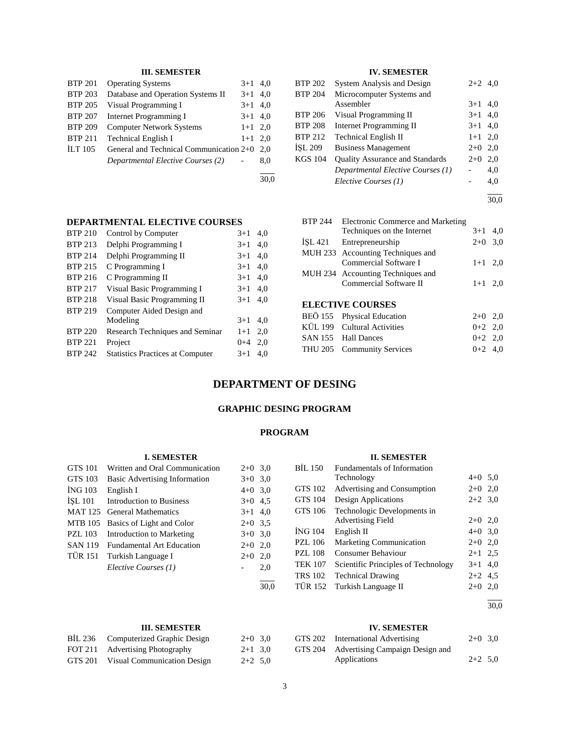# **III. SEMESTER**

| <b>BTP 201</b> | <b>Operating Systems</b>                | $3+1$ 4,0 |     |
|----------------|-----------------------------------------|-----------|-----|
| <b>BTP 203</b> | Database and Operation Systems II       | $3+1$     | 4.0 |
| <b>BTP 205</b> | Visual Programming I                    | $3+1$ 4,0 |     |
| <b>BTP 207</b> | <b>Internet Programming I</b>           | $3+1$ 4,0 |     |
| <b>BTP 209</b> | <b>Computer Network Systems</b>         | $1+1$ 2.0 |     |
| <b>BTP 211</b> | <b>Technical English I</b>              | $1+1$ 2.0 |     |
| <b>ILT</b> 105 | General and Technical Communication 2+0 |           | 2.0 |
|                | Departmental Elective Courses (2)       |           | 8,0 |
|                |                                         |           |     |

30,0

# **IV. SEMESTER**

| BTP 202        | <b>System Analysis and Design</b>      | $2+2$ 4,0 |     |
|----------------|----------------------------------------|-----------|-----|
| BTP 204        | Microcomputer Systems and              |           |     |
|                | Assembler                              | $3+1$     | 4,0 |
| BTP 206        | Visual Programming II                  | $3+1$ 4,0 |     |
| <b>BTP 208</b> | <b>Internet Programming II</b>         | $3+1$ 4,0 |     |
| <b>BTP 212</b> | <b>Technical English II</b>            | $1+1$ 2,0 |     |
| İSL 209        | <b>Business Management</b>             | $2+0$     | 2,0 |
| KGS 104        | <b>Quality Assurance and Standards</b> | $2+0$     | 2,0 |
|                | Departmental Elective Courses (1)      |           | 4,0 |
|                | Elective Courses (1)                   |           | 4,0 |
|                |                                        |           |     |

30,0

# **DEPARTMENTAL ELECTIVE COURSES**

| <b>BTP 210</b> | Control by Computer                     | $3+1$   | 4,0 |
|----------------|-----------------------------------------|---------|-----|
| <b>BTP 213</b> | Delphi Programming I                    | $3+1$   | 4,0 |
| <b>BTP 214</b> | Delphi Programming II                   | $3+1$   | 4,0 |
| <b>BTP 215</b> | C Programming I                         | $3+1$   | 4,0 |
| <b>BTP 216</b> | C Programming II                        | $3+1$   | 4,0 |
| <b>BTP 217</b> | Visual Basic Programming I              | $3+1$   | 4,0 |
| <b>BTP 218</b> | Visual Basic Programming II             | $3+1$   | 4.0 |
| <b>BTP 219</b> | Computer Aided Design and               |         |     |
|                | Modeling                                | $3+1$   | 4.0 |
| <b>BTP 220</b> | Research Techniques and Seminar         | $1+1$   | 2.0 |
| <b>BTP 221</b> | Project                                 | $0 + 4$ | 2,0 |
| <b>BTP 242</b> | <b>Statistics Practices at Computer</b> | $3+1$   | 4.0 |
|                |                                         |         |     |

| <b>BTP 244</b> | Electronic Commerce and Marketing |           |     |
|----------------|-----------------------------------|-----------|-----|
|                | Techniques on the Internet        | $3+1$     | 4.0 |
|                |                                   |           |     |
| ISL 421        | Entrepreneurship                  | $2+0$ 3,0 |     |
|                | MUH 233 Accounting Techniques and |           |     |
|                | Commercial Software I             | $1+1$ 2.0 |     |
|                | MUH 234 Accounting Techniques and |           |     |
|                | Commercial Software II            | $1 + 1$   | 2,0 |
|                |                                   |           |     |
|                | <b>ELECTIVE COURSES</b>           |           |     |
|                | BEÖ 155 Physical Education        | $2+0$     | 2,0 |
|                | KÜL 199 Cultural Activities       | $0+2$ 2.0 |     |

SAN 155 Hall Dances  $0+2$  2,0 THU 205 Community Services 0+2 4,0

# **DEPARTMENT OF DESING**

# **GRAPHIC DESING PROGRAM**

# **PROGRAM**

#### **I. SEMESTER** GTS 101 Written and Oral Communication 2+0 3,0 GTS 103 Basic Advertising Information 3+0 3,0 İNG 103 English I 4+0 3,0 İŞL 101 Introduction to Business 3+0 4,5 MAT 125 General Mathematics 3+1 4,0 MTB 105 Basics of Light and Color 2+0 3,5 PZL 103 Introduction to Marketing 3+0 3,0 SAN 119 Fundamental Art Education 2+0 2,0 TÜR 151 Turkish Language I 2+0 2,0 *Elective Courses (1)* - 2,0 l  $\frac{1}{30.0}$ **II. SEMESTER** BİL 150 Fundamentals of Information Technology  $4+0$  5,0 GTS 102 Advertising and Consumption 2+0 2,0 GTS 104 Design Applications 2+2 3,0 GTS 106 Technologic Developments in Advertising Field 2+0 2,0 İNG 104 English II 4+0 3,0 PZL 106 Marketing Communication 2+0 2,0 PZL 108 Consumer Behaviour 2+1 2,5 TEK 107 Scientific Principles of Technology 3+1 4,0 TRS 102 Technical Drawing 2+2 4,5 TÜR 152 Turkish Language II 2+0 2,0

l 30,0

| <b>III. SEMESTER</b> |
|----------------------|
|                      |

|         | BIL 236 Computerized Graphic Design | $2+0$ 3,0 |  |
|---------|-------------------------------------|-----------|--|
|         | FOT 211 Advertising Photography     | $2+1$ 3.0 |  |
| GTS 201 | Visual Communication Design         | $2+2$ 5.0 |  |

### **IV. SEMESTER**

| GTS 202 International Advertising       | $2+0$ 3.0 |  |
|-----------------------------------------|-----------|--|
| GTS 204 Advertising Campaign Design and |           |  |
| Applications                            | $2+2$ 5.0 |  |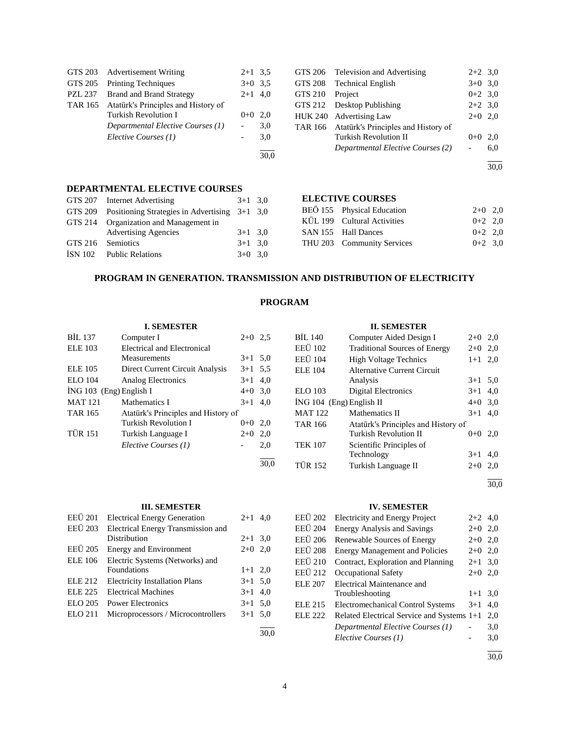|                | GTS 203 Advertisement Writing       | $2+1$ 3.5 |      |
|----------------|-------------------------------------|-----------|------|
| GTS 205        | <b>Printing Techniques</b>          | $3+0$ 3.5 |      |
| <b>PZL 237</b> | <b>Brand and Brand Strategy</b>     | $2+1$ 4,0 |      |
| TAR 165        | Atatürk's Principles and History of |           |      |
|                | Turkish Revolution I                | $0+0$ 2.0 |      |
|                | Departmental Elective Courses (1)   |           | 3,0  |
|                | Elective Courses (1)                |           | 3,0  |
|                |                                     |           | 30.0 |

#### **DEPARTMENTAL ELECTIVE COURSES**

|                   | GTS 207 Internet Advertising                            | $3+1$ 3.0 |  |
|-------------------|---------------------------------------------------------|-----------|--|
|                   | GTS 209 Positioning Strategies in Advertising $3+1$ 3,0 |           |  |
|                   | GTS 214 Organization and Management in                  |           |  |
|                   | <b>Advertising Agencies</b>                             | $3+1$ 3.0 |  |
| GTS 216 Semiotics |                                                         | $3+1$ 3.0 |  |
|                   | ISN 102 Public Relations                                | $3+0$ 3.0 |  |
|                   |                                                         |           |  |

| GTS 206        | Television and Advertising                  | $2+2$ 3.0 |     |
|----------------|---------------------------------------------|-----------|-----|
| <b>GTS 208</b> | <b>Technical English</b>                    | $3+0$ 3.0 |     |
| GTS 210        | Project                                     | $0+2$ 3.0 |     |
|                | GTS 212 Desktop Publishing                  | $2+2$ 3,0 |     |
|                | HUK 240 Advertising Law                     | $2+0$ 2,0 |     |
|                | TAR 166 Atatürk's Principles and History of |           |     |
|                | <b>Turkish Revolution II</b>                | $0+0$     | 2.0 |
|                | Departmental Elective Courses (2)           |           | 6,0 |
|                |                                             |           |     |

30,0

#### **ELECTIVE COURSES**

| BEÖ 155 Physical Education  | $2+0$ 2.0 |  |
|-----------------------------|-----------|--|
| KÜL 199 Cultural Activities | $0+2$ 2.0 |  |
| SAN 155 Hall Dances         | $0+2$ 2.0 |  |
| THU 203 Community Services  | $0+2$ 3.0 |  |

# **PROGRAM IN GENERATION. TRANSMISSION AND DISTRIBUTION OF ELECTRICITY**

# **PROGRAM**

|                           | <b>I. SEMESTER</b>                  |           |     |
|---------------------------|-------------------------------------|-----------|-----|
| BIL 137                   | Computer I                          | $2+0$ 2.5 |     |
| <b>ELE 103</b>            | Electrical and Electronical         |           |     |
|                           | Measurements                        | $3+1$ 5.0 |     |
| ELE 105                   | Direct Current Circuit Analysis     | $3+1$ 5.5 |     |
| <b>ELO</b> 104            | Analog Electronics                  | $3 + 1$   | 4,0 |
| $ING 103$ (Eng) English I |                                     | $4+0$ 3.0 |     |
| <b>MAT 121</b>            | Mathematics I                       | $3+1$     | 4.0 |
| <b>TAR 165</b>            | Atatürk's Principles and History of |           |     |
|                           | Turkish Revolution I                | $0 + 0$   | 2.0 |
| <b>TÜR 151</b>            | Turkish Language I                  | $2+0$     | 2,0 |
|                           | Elective Courses (1)                |           | 2,0 |
|                           |                                     |           |     |

# **III. SEMESTER**

| <b>EEÜ</b> 201 | <b>Electrical Energy Generation</b>   | $2 + 1$   | 4,0 |
|----------------|---------------------------------------|-----------|-----|
| <b>EEÜ</b> 203 | Electrical Energy Transmission and    |           |     |
|                | Distribution                          | $2+1$ 3.0 |     |
| <b>EEÜ</b> 205 | <b>Energy and Environment</b>         | $2+0$ 2,0 |     |
| <b>ELE 106</b> | Electric Systems (Networks) and       |           |     |
|                | Foundations                           | $1+1$ 2,0 |     |
| <b>ELE 212</b> | <b>Electricity Installation Plans</b> | $3+1$ 5.0 |     |
| <b>ELE 225</b> | <b>Electrical Machines</b>            | $3+1$ 4,0 |     |
| ELO 205        | <b>Power Electronics</b>              | $3+1$ 5.0 |     |
| ELO 211        | Microprocessors / Microcontrollers    | $3+1$ 5.0 |     |
|                |                                       |           |     |

30,0

30,0

# **II. SEMESTER** BİL 140 Computer Aided Design I  $2+0$  2,0 EEÜ 102 Traditional Sources of Energy 2+0 2,0 EEÜ 104 High Voltage Technics 1+1 2,0 ELE 104 Alternative Current Circuit Analysis  $3+1$  5,0 ELO 103 Digital Electronics 3+1 4,0 İNG 104 (Eng) English II 4+0 3,0 MAT 122 Mathematics II  $3+1$  4,0 TAR 166 Atatürk's Principles and History of Turkish Revolution II  $0+0$  2,0 TEK 107 Scientific Principles of Technology 3+1 4,0 TÜR 152 Turkish Language II 2+0 2,0

 $\overline{a}$ 30,0

# **IV. SEMESTER**

| EEÜ 202        | <b>Electricity and Energy Project</b>      | $2+2$ 4,0 |     |
|----------------|--------------------------------------------|-----------|-----|
| EEÜ 204        | <b>Energy Analysis and Savings</b>         | $2+0$ 2,0 |     |
| EEÜ 206        | Renewable Sources of Energy                | $2+0$ 2,0 |     |
| EEÜ 208        | <b>Energy Management and Policies</b>      | $2+0$     | 2,0 |
| EEÜ 210        | Contract, Exploration and Planning         | $2+1$ 3.0 |     |
| EEÜ 212        | Occupational Safety                        | $2+0$     | 2,0 |
| ELE 207        | Electrical Maintenance and                 |           |     |
|                | Troubleshooting                            | $1 + 1$   | 3,0 |
| <b>ELE 215</b> | <b>Electromechanical Control Systems</b>   | $3+1$     | 4,0 |
| ELE 222        | Related Electrical Service and Systems 1+1 |           | 2,0 |
|                | Departmental Elective Courses (1)          |           | 3,0 |
|                | Elective Courses (1)                       |           | 3,0 |
|                |                                            |           |     |

30,0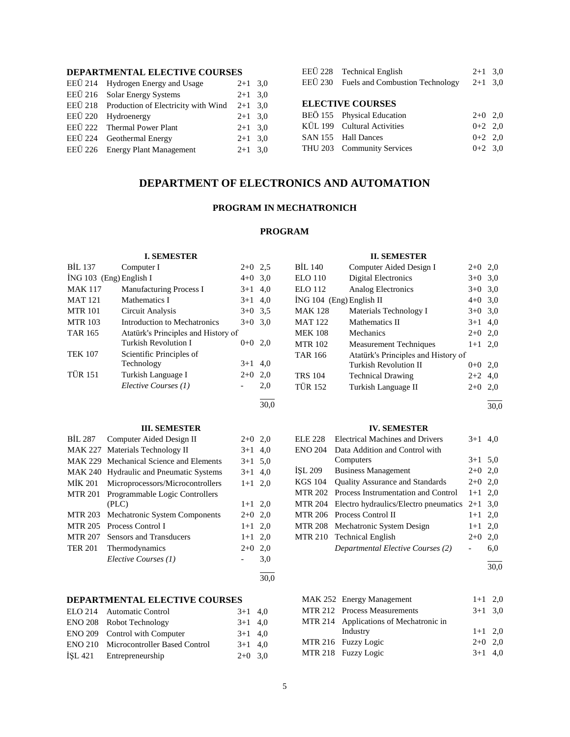# **DEPARTMENTAL ELECTIVE COURSES**

| EEÜ 214 Hydrogen Energy and Usage                     | $2+1$ 3.0 |  |
|-------------------------------------------------------|-----------|--|
| EEÜ 216 Solar Energy Systems                          | $2+1$ 3.0 |  |
| EEÜ 218 Production of Electricity with Wind $2+1$ 3,0 |           |  |
| EEÜ 220 Hydroenergy                                   | $2+1$ 3.0 |  |
| EEÜ 222 Thermal Power Plant                           | $2+1$ 3.0 |  |
| EEÜ 224 Geothermal Energy                             | $2+1$ 3.0 |  |
| EEÜ 226 Energy Plant Management                       | $2+1$ 3.0 |  |
|                                                       |           |  |

# EEÜ 228 Technical English  $2+1$  3,0

EEÜ 230 Fuels and Combustion Technology 2+1 3,0

# **ELECTIVE COURSES**

| BEÖ 155 Physical Education  | $2+0$ 2,0 |  |
|-----------------------------|-----------|--|
| KÜL 199 Cultural Activities | $0+2$ 2.0 |  |
| SAN 155 Hall Dances         | $0+2$ 2,0 |  |
| THU 203 Community Services  | $0+2$ 3.0 |  |
|                             |           |  |

# **DEPARTMENT OF ELECTRONICS AND AUTOMATION**

# **PROGRAM IN MECHATRONICH**

# **PROGRAM**

#### **I. SEMESTER** BİL 137 Computer I 2+0 2,5  $\text{ING } 103 \text{ (Eng)}$  English I  $4+0.3,0$ MAK 117 Manufacturing Process I 3+1 4,0 MAT 121 Mathematics I  $3+1$  4.0 MTR 101 Circuit Analysis 3+0 3,5 MTR 103 Introduction to Mechatronics 3+0 3,0 TAR 165 Atatürk's Principles and History of<br>Turkish Revolution I 0+0 2,0 Turkish Revolution I TEK 107 Scientific Principles of Technology 3+1 4,0 TÜR 151 Turkish Language I 2+0 2,0 *Elective Courses (1)* - 2,0 l 30,0 **II. SEMESTER** BİL 140 Computer Aided Design I 2+0 2,0 ELO 110 Digital Electronics 3+0 3,0 ELO 112 Analog Electronics 3+0 3,0  $ING 104$  (Eng) English MAK 128 Mater MAT 122 Mathe MEK 108 Mech MTR 102 Meas TAR 166 Atatü Turkis TRS 104 Techn TÜR 152 Turkis l **III. SEMESTER** BİL 287 Computer Aided Design II 2+0 2,0 MAK 227 Materials Technology II 3+1 4,0 MAK 229 Mechanical Science and Elements 3+1 5,0 MAK 240 Hydraulic and Pneumatic Systems 3+1 4,0 MİK 201 Microprocessors/Microcontrollers 1+1 2,0 MTR 201 Programmable Logic Controllers  $(PLC)$  1+1 2,0 MTR 203 Mechatronic System Components 2+0 2,0 MTR 205 Process Control I  $1+1$  2,0 MTR 207 Sensors and Transducers 1+1 2,0 TER 201 Thermodynamics 2+0 2,0 *Elective Courses (1)* - 3,0 l  $\frac{1}{30.0}$ **IV. SEMESTER** ENO 204 Data Addition and Control with l **DEPARTMENTAL ELECTIVE COURSES** ELO 214 Automatic Control 3+1 4,0

| ENO 208 Robot Technology                     | $3+1$ 4.0 |  |
|----------------------------------------------|-----------|--|
| ENO 209 Control with Computer                | $3+1$ 4,0 |  |
| <b>ENO 210</b> Microcontroller Based Control | $3+1$ 4.0 |  |
| ISL 421 Entrepreneurship                     | $2+0$ 3.0 |  |

| de electronics                 | 3+0 3.0   |  |
|--------------------------------|-----------|--|
| sh II                          | $4+0$ 3,0 |  |
| rials Technology I             | $3+0$ 3,0 |  |
| ematics II                     | $3+1$ 4,0 |  |
| anics                          | $2+0$ 2,0 |  |
| urement Techniques             | $1+1$ 2,0 |  |
| rk's Principles and History of |           |  |
| sh Revolution II               | $0+0$ 2,0 |  |
| nical Drawing                  | $2+2$ 4,0 |  |
| sh Language II                 | $2+0$ 2,0 |  |

30,0

| ELE 228        | <b>Electrical Machines and Drivers</b>          | $3+1$     | 4.0 |
|----------------|-------------------------------------------------|-----------|-----|
| <b>ENO 204</b> | Data Addition and Control with                  |           |     |
|                | Computers                                       | $3+1$ 5.0 |     |
| ISL 209        | <b>Business Management</b>                      | $2+0$ 2,0 |     |
| <b>KGS 104</b> | <b>Ouality Assurance and Standards</b>          | $2+0$ 2,0 |     |
|                | MTR 202 Process Instrumentation and Control     | $1+1$ 2.0 |     |
| <b>MTR 204</b> | Electro hydraulics/Electro pneumatics $2+1$ 3,0 |           |     |
|                | MTR 206 Process Control II                      | $1+1$ 2,0 |     |
|                | MTR 208 Mechatronic System Design               | $1+1$ 2,0 |     |
|                | MTR 210 Technical English                       | $2+0$     | 2,0 |
|                | <b>Departmental Elective Courses (2)</b>        |           | 6.0 |

 $\frac{1}{30.0}$ 

| MAK 252 Energy Management              | $1+1$ 2,0 |  |
|----------------------------------------|-----------|--|
| MTR 212 Process Measurements           | $3+1$ 3.0 |  |
| MTR 214 Applications of Mechatronic in |           |  |
| Industry                               | $1+1$ 2.0 |  |
| MTR 216 Fuzzy Logic                    | $2+0$ 2.0 |  |
| MTR 218 Fuzzy Logic                    | $3+1$ 4,0 |  |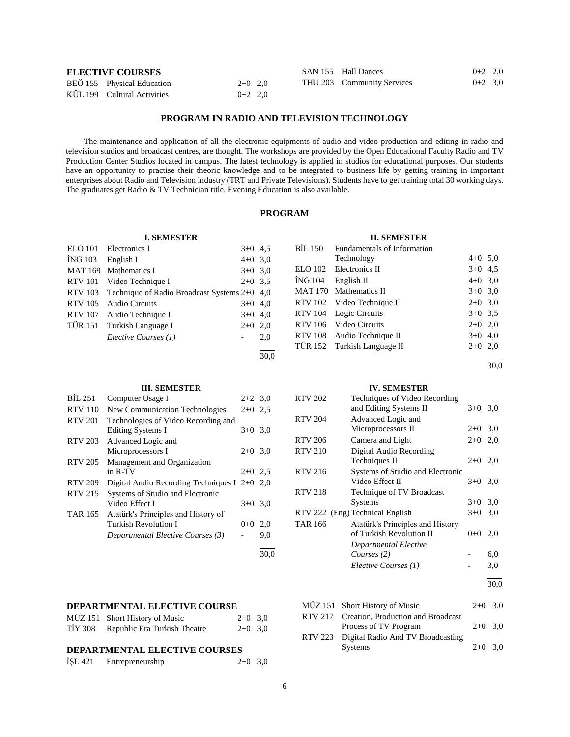| <b>ELECTIVE COURSES</b> |                             | SAN 155 Hall Dances | $0+2$ 2.0 |                            |           |
|-------------------------|-----------------------------|---------------------|-----------|----------------------------|-----------|
|                         | BEÖ 155 Physical Education  | $2+0$ 2.0           |           | THU 203 Community Services | $0+2$ 3.0 |
|                         | KÜL 199 Cultural Activities | $0+2$ 2.0           |           |                            |           |

# **PROGRAM IN RADIO AND TELEVISION TECHNOLOGY**

 The maintenance and application of all the electronic equipments of audio and video production and editing in radio and television studios and broadcast centres, are thought. The workshops are provided by the Open Educational Faculty Radio and TV Production Center Studios located in campus. The latest technology is applied in studios for educational purposes. Our students have an opportunity to practise their theoric knowledge and to be integrated to business life by getting training in important enterprises about Radio and Television industry (TRT and Private Televisions). Students have to get training total 30 working days. The graduates get Radio & TV Technician title. Evening Education is also available.

# **PROGRAM**

#### **I. SEMESTER**

| <b>ELO</b> 101 | Electronics I                                | $3+0$ 4.5 |      |
|----------------|----------------------------------------------|-----------|------|
| <b>ING 103</b> | English I                                    | $4+0$ 3.0 |      |
| <b>MAT 169</b> | Mathematics I                                | $3+0$ 3.0 |      |
| <b>RTV</b> 101 | Video Technique I                            | $2+0$ 3.5 |      |
| <b>RTV 103</b> | Technique of Radio Broadcast Systems 2+0 4,0 |           |      |
| <b>RTV 105</b> | Audio Circuits                               | $3+0$ 4,0 |      |
| <b>RTV 107</b> | Audio Technique I                            | $3+0$ 4,0 |      |
| <b>TÜR 151</b> | Turkish Language I                           | $2+0$     | 2,0  |
|                | Elective Courses (1)                         |           | 2,0  |
|                |                                              |           |      |
|                |                                              |           | 30.0 |

#### **III. SEMESTER**

| BIL 251        | Computer Usage I                                            | $2+2$ 3.0 |     |
|----------------|-------------------------------------------------------------|-----------|-----|
| <b>RTV 110</b> | New Communication Technologies                              | $2+0$ 2.5 |     |
| <b>RTV 201</b> | Technologies of Video Recording and<br>Editing Systems I    | $3+0$     | 3,0 |
| <b>RTV 203</b> | Advanced Logic and<br>Microprocessors I                     | $2+0$ 3.0 |     |
| <b>RTV 205</b> | Management and Organization<br>in R-TV                      | $2+0$ 2.5 |     |
| <b>RTV 209</b> | Digital Audio Recording Techniques I $2+0$ 2,0              |           |     |
| <b>RTV 215</b> | Systems of Studio and Electronic<br>Video Effect I          | $3+0$     | 3,0 |
| <b>TAR 165</b> | Atatürk's Principles and History of<br>Turkish Revolution I | $0 + 0$   | 2,0 |
|                | Departmental Elective Courses (3)                           |           | 9,0 |

# **DEPARTMENTAL ELECTIVE COURSE**

| MÜZ 151 Short History of Music       | $2+0$ 3,0 |  |
|--------------------------------------|-----------|--|
| TİY 308 Republic Era Turkish Theatre | $2+0$ 3,0 |  |

# **DEPARTMENTAL ELECTIVE COURSES**

| ISL 421 | Entrepreneurship | $2+0$ 3,0 |  |
|---------|------------------|-----------|--|
|---------|------------------|-----------|--|

## **II. SEMESTER**

| BIL 150 | Fundamentals of Information |           |     |
|---------|-----------------------------|-----------|-----|
|         | Technology                  | $4+0$ 5.0 |     |
|         | ELO 102 Electronics II      | $3+0$ 4.5 |     |
|         | $ING 104$ English II        | $4+0$ 3,0 |     |
|         | MAT 170 Mathematics II      | $3+0$ 3,0 |     |
|         | RTV 102 Video Technique II  | $2+0$ 3.0 |     |
| RTV 104 | Logic Circuits              | $3+0$ 3.5 |     |
|         | RTV 106 Video Circuits      | $2+0$ 2,0 |     |
|         | RTV 108 Audio Technique II  | $3+0$ 4,0 |     |
|         | TÜR 152 Turkish Language II | $2+0$     | 2,0 |
|         |                             |           |     |

#### 30,0

#### **IV. SEMESTER**

| <b>RTV 202</b> | Techniques of Video Recording    |           |     |
|----------------|----------------------------------|-----------|-----|
|                | and Editing Systems II           | $3+0$ 3.0 |     |
| <b>RTV 204</b> | Advanced Logic and               |           |     |
|                | Microprocessors II               | $2+0$     | 3,0 |
| <b>RTV 206</b> | Camera and Light                 | $2+0$     | 2,0 |
| <b>RTV 210</b> | Digital Audio Recording          |           |     |
|                | Techniques II                    | $2+0$ 2,0 |     |
| <b>RTV 216</b> | Systems of Studio and Electronic |           |     |
|                | Video Effect II                  | $3+0$     | 3,0 |
| <b>RTV 218</b> | Technique of TV Broadcast        |           |     |
|                | Systems                          | $3+0$     | 3,0 |
|                | RTV 222 (Eng) Technical English  | $3+0$     | 3,0 |
| <b>TAR 166</b> | Atatürk's Principles and History |           |     |
|                | of Turkish Revolution II         | $0 + 0$   | 2,0 |
|                | Departmental Elective            |           |     |
|                | Courses (2)                      |           | 6,0 |
|                | Elective Courses (1)             |           | 3,0 |
|                |                                  |           |     |

30,0

| MÜZ 151 Short History of Music             | $2+0$ 3.0 |  |
|--------------------------------------------|-----------|--|
| RTV 217 Creation, Production and Broadcast |           |  |
| Process of TV Program                      | $2+0$ 3.0 |  |
| RTV 223 Digital Radio And TV Broadcasting  |           |  |
| <b>Systems</b>                             | $2+0$ 3.0 |  |

30,0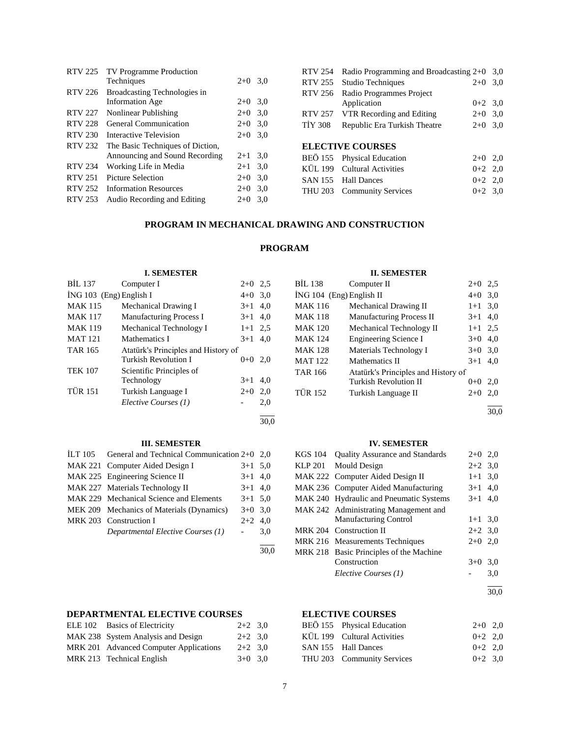|                | RTV 225 TV Programme Production  |       |     |
|----------------|----------------------------------|-------|-----|
|                | Techniques                       | $2+0$ | 3,0 |
| RTV 226        | Broadcasting Technologies in     |       |     |
|                | <b>Information</b> Age           | $2+0$ | 3,0 |
| <b>RTV 227</b> | Nonlinear Publishing             | $2+0$ | 3,0 |
| <b>RTV 228</b> | General Communication            | $2+0$ | 3,0 |
| <b>RTV 230</b> | Interactive Television           | $2+0$ | 3,0 |
| <b>RTV 232</b> | The Basic Techniques of Diction, |       |     |
|                | Announcing and Sound Recording   | $2+1$ | 3,0 |
| <b>RTV 234</b> | Working Life in Media            | $2+1$ | 3,0 |
| <b>RTV 251</b> | Picture Selection                | $2+0$ | 3,0 |
| RTV 252        | <b>Information Resources</b>     | $2+0$ | 3,0 |
| RTV 253        | Audio Recording and Editing      | $2+0$ | 3,0 |
|                |                                  |       |     |

| <b>RTV 254</b> | Radio Programming and Broadcasting $2+0$   |             | 3.0 |
|----------------|--------------------------------------------|-------------|-----|
|                | RTV 255 Studio Techniques                  | $2+0$ 3,0   |     |
| RTV 256        | Radio Programmes Project                   |             |     |
|                | Application                                | $0+2$ 3.0   |     |
|                | RTV 257 VTR Recording and Editing          | $2+0$ 3,0   |     |
| <b>TIY 308</b> | Republic Era Turkish Theatre               | $2+0$ 3,0   |     |
|                |                                            |             |     |
|                | <b>ELECTIVE COURSES</b>                    |             |     |
|                | BEÖ 155 Physical Education                 | $2+0$       | 2.0 |
|                | $\overline{K}$ III 199 Cultural Activities | $0+2$ 2 $0$ |     |

| BEO 155 Physical Education  | $2+0$ $2.0$ |  |
|-----------------------------|-------------|--|
| KÜL 199 Cultural Activities | $0+2$ 2.0   |  |
| SAN 155 Hall Dances         | $0+2$ 2.0   |  |
| THU 203 Community Services  | $0+2$ 3.0   |  |

# **PROGRAM IN MECHANICAL DRAWING AND CONSTRUCTION**

# **PROGRAM**

30,0

30,0

# **I. SEMESTER**

| <b>BIL 137</b>          | Computer I                          | $2+0$ 2.5 |     | BİL 13           |
|-------------------------|-------------------------------------|-----------|-----|------------------|
| İNG 103 (Eng) English I |                                     | $4+0$ 3.0 |     | ING 10           |
| <b>MAK 115</b>          | Mechanical Drawing I                | $3+1$ 4,0 |     | MAK              |
| <b>MAK 117</b>          | <b>Manufacturing Process I</b>      | $3+1$ 4,0 |     | MAK              |
| <b>MAK 119</b>          | Mechanical Technology I             | $1+1$ 2.5 |     | MAK              |
| <b>MAT 121</b>          | Mathematics I                       | $3+1$     | 4.0 | <b>MAK</b>       |
| <b>TAR 165</b>          | Atatürk's Principles and History of |           |     | MAK              |
|                         | <b>Turkish Revolution I</b>         | $0+0$ 2.0 |     | MAT 1            |
| <b>TEK 107</b>          | Scientific Principles of            |           |     | TAR <sub>1</sub> |
|                         | Technology                          | $3+1$     | 4.0 |                  |
| <b>TÜR 151</b>          | Turkish Language I                  | $2+0$     | 2,0 | TÜR 1            |
|                         | Elective Courses (1)                |           | 2,0 |                  |
|                         |                                     |           |     |                  |

# **III. SEMESTER**

| ILT 105 General and Technical Communication $2+0$ 2,0 |                     |     |
|-------------------------------------------------------|---------------------|-----|
| MAK 221 Computer Aided Design I                       | $3+1$ 5.0           |     |
| MAK 225 Engineering Science II                        | $3+1$ 4,0           |     |
| MAK 227 Materials Technology II                       | $3+1$ 4,0           |     |
| MAK 229 Mechanical Science and Elements               | $3+1$ 5.0           |     |
| MEK 209 Mechanics of Materials (Dynamics)             | $3+0$ 3.0           |     |
| MRK 203 Construction I                                | $2+2$ 4.0           |     |
| Departmental Elective Courses (1)                     | $\omega_{\rm{max}}$ | 3,0 |
|                                                       |                     |     |

# **DEPARTMENTAL ELECTIVE COURSES ELECTIVE COURSES**

| ELE 102 Basics of Electricity          | $2+2$ 3.0 |  |
|----------------------------------------|-----------|--|
| MAK 238 System Analysis and Design     | $2+2$ 3.0 |  |
| MRK 201 Advanced Computer Applications | $2+2$ 3.0 |  |
| MRK 213 Technical English              | $3+0$ 3.0 |  |

# **II. SEMESTER**

| BİL 138                  | Computer II                         | $2+0$ 2.5 |     |
|--------------------------|-------------------------------------|-----------|-----|
| İNG 104 (Eng) English II |                                     | $4 + 0$   | 3,0 |
| MAK 116                  | Mechanical Drawing II               | $1+1$ 3,0 |     |
| MAK 118                  | Manufacturing Process II            | $3+1$ 4,0 |     |
| MAK 120                  | Mechanical Technology II            | $1+1$ 2.5 |     |
| MAK 124                  | <b>Engineering Science I</b>        | $3+0$     | 4,0 |
| MAK 128                  | Materials Technology I              | $3+0$ 3,0 |     |
| MAT 122                  | Mathematics II                      | $3+1$     | 4,0 |
| TAR 166                  | Atatürk's Principles and History of |           |     |
|                          | <b>Turkish Revolution II</b>        | $0+0$ 2,0 |     |
| TÜR 152                  | Turkish Language II                 | $2+0$     | 2,0 |
|                          |                                     |           |     |

30,0

#### **IV. SEMESTER**

| KGS 104 | <b>Quality Assurance and Standards</b>  | $2+0$ 2,0 |     |
|---------|-----------------------------------------|-----------|-----|
| KLP 201 | Mould Design                            | $2+2$ 3,0 |     |
|         | MAK 222 Computer Aided Design II        | $1+1$ 3,0 |     |
|         | MAK 236 Computer Aided Manufacturing    | $3+1$ 4,0 |     |
|         | MAK 240 Hydraulic and Pneumatic Systems | $3+1$ 4.0 |     |
|         | MAK 242 Administrating Management and   |           |     |
|         | <b>Manufacturing Control</b>            | $1+1$ 3,0 |     |
|         | MRK 204 Construction II                 | $2+2$ 3.0 |     |
|         | MRK 216 Measurements Techniques         | $2+0$     | 2,0 |
|         | MRK 218 Basic Principles of the Machine |           |     |
|         | Construction                            | $3+0$     | 3,0 |
|         | Elective Courses (1)                    |           | 3,0 |
|         |                                         |           |     |

30,0

| BEÖ 155 Physical Education  | $2+0$ 2.0 |  |
|-----------------------------|-----------|--|
| KÜL 199 Cultural Activities | $0+2$ 2.0 |  |
| SAN 155 Hall Dances         | $0+2$ 2.0 |  |
| THU 203 Community Services  | $0+2$ 3.0 |  |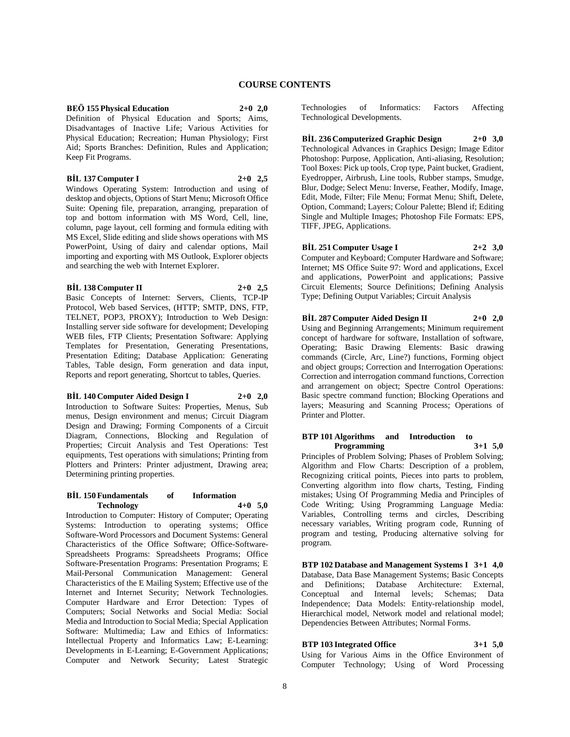# **COURSE CONTENTS**

# **BEÖ 155 Physical Education 2+0 2,0**

Definition of Physical Education and Sports; Aims, Disadvantages of Inactive Life; Various Activities for Physical Education; Recreation; Human Physiology; First Aid; Sports Branches: Definition, Rules and Application; Keep Fit Programs.

#### **BİL 137 Computer I 2+0 2,5**

Windows Operating System: Introduction and using of desktop and objects, Options of Start Menu; Microsoft Office Suite: Opening file, preparation, arranging, preparation of top and bottom information with MS Word, Cell, line, column, page layout, cell forming and formula editing with MS Excel, Slide editing and slide shows operations with MS PowerPoint, Using of dairy and calendar options, Mail importing and exporting with MS Outlook, Explorer objects and searching the web with Internet Explorer.

#### **BİL 138 Computer II 2+0 2,5**

Basic Concepts of Internet: Servers, Clients, TCP-IP Protocol, Web based Services, (HTTP; SMTP, DNS, FTP, TELNET, POP3, PROXY); Introduction to Web Design: Installing server side software for development; Developing WEB files, FTP Clients; Presentation Software: Applying Templates for Presentation, Generating Presentations, Presentation Editing; Database Application: Generating Tables, Table design, Form generation and data input, Reports and report generating, Shortcut to tables, Queries.

#### **BİL 140 Computer Aided Design I 2+0 2,0**

Introduction to Software Suites: Properties, Menus, Sub menus, Design environment and menus; Circuit Diagram Design and Drawing; Forming Components of a Circuit Diagram, Connections, Blocking and Regulation of Properties; Circuit Analysis and Test Operations: Test equipments, Test operations with simulations; Printing from Plotters and Printers: Printer adjustment, Drawing area; Determining printing properties.

#### **BİL 150 Fundamentals of Information Technology 4+0 5,0**

Introduction to Computer: History of Computer; Operating Systems: Introduction to operating systems; Office Software-Word Processors and Document Systems: General Characteristics of the Office Software; Office-Software-Spreadsheets Programs: Spreadsheets Programs; Office Software-Presentation Programs: Presentation Programs; E Mail-Personal Communication Management: General Characteristics of the E Mailing System; Effective use of the Internet and Internet Security; Network Technologies. Computer Hardware and Error Detection: Types of Computers; Social Networks and Social Media: Social Media and Introduction to Social Media; Special Application Software: Multimedia; Law and Ethics of Informatics: Intellectual Property and Informatics Law; E-Learning: Developments in E-Learning; E-Government Applications; Computer and Network Security; Latest Strategic

Technologies of Informatics: Factors Affecting Technological Developments.

**BİL 236 Computerized Graphic Design 2+0 3,0** Technological Advances in Graphics Design; Image Editor Photoshop: Purpose, Application, Anti-aliasing, Resolution; Tool Boxes: Pick up tools, Crop type, Paint bucket, Gradient, Eyedropper, Airbrush, Line tools, Rubber stamps, Smudge, Blur, Dodge; Select Menu: Inverse, Feather, Modify, Image, Edit, Mode, Filter; File Menu; Format Menu; Shift, Delete, Option, Command; Layers; Colour Palette; Blend if; Editing Single and Multiple Images; Photoshop File Formats: EPS, TIFF, JPEG, Applications.

# **BİL 251 Computer Usage I 2+2 3,0**

Computer and Keyboard; Computer Hardware and Software; Internet; MS Office Suite 97: Word and applications, Excel and applications, PowerPoint and applications; Passive Circuit Elements; Source Definitions; Defining Analysis Type; Defining Output Variables; Circuit Analysis

**BİL 287 Computer Aided Design II 2+0 2,0** Using and Beginning Arrangements; Minimum requirement concept of hardware for software, Installation of software, Operating; Basic Drawing Elements: Basic drawing commands (Circle, Arc, Line?) functions, Forming object and object groups; Correction and Interrogation Operations: Correction and interrogation command functions, Correction and arrangement on object; Spectre Control Operations: Basic spectre command function; Blocking Operations and layers; Measuring and Scanning Process; Operations of Printer and Plotter.

#### **BTP 101 Algorithms and Introduction to Programming 3+1 5,0**

Principles of Problem Solving; Phases of Problem Solving; Algorithm and Flow Charts: Description of a problem, Recognizing critical points, Pieces into parts to problem, Converting algorithm into flow charts, Testing, Finding mistakes; Using Of Programming Media and Principles of Code Writing; Using Programming Language Media: Variables, Controlling terms and circles, Describing necessary variables, Writing program code, Running of program and testing, Producing alternative solving for program.

**BTP 102 Database and Management Systems I 3+1 4,0** Database, Data Base Management Systems; Basic Concepts and Definitions; Database Architecture: External, Conceptual and Internal levels; Schemas; Data Independence; Data Models: Entity-relationship model, Hierarchical model, Network model and relational model; Dependencies Between Attributes; Normal Forms.

**BTP 103 Integrated Office 3+1 5,0**

Using for Various Aims in the Office Environment of Computer Technology; Using of Word Processing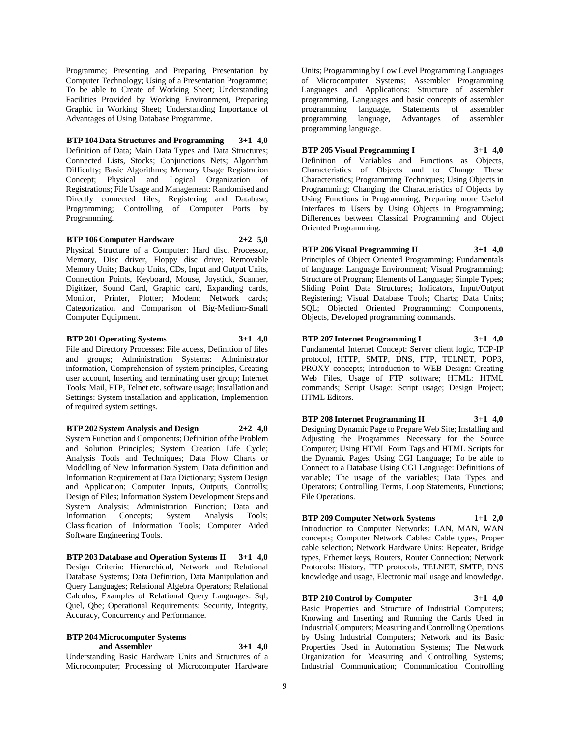Programme; Presenting and Preparing Presentation by Computer Technology; Using of a Presentation Programme; To be able to Create of Working Sheet; Understanding Facilities Provided by Working Environment, Preparing Graphic in Working Sheet; Understanding Importance of Advantages of Using Database Programme.

**BTP 104 Data Structures and Programming 3+1 4,0** Definition of Data; Main Data Types and Data Structures; Connected Lists, Stocks; Conjunctions Nets; Algorithm Difficulty; Basic Algorithms; Memory Usage Registration Concept; Physical and Logical Organization of Registrations; File Usage and Management: Randomised and Directly connected files; Registering and Database; Programming; Controlling of Computer Ports by Programming.

**BTP 106 Computer Hardware 2+2 5,0** Physical Structure of a Computer: Hard disc, Processor, Memory, Disc driver, Floppy disc drive; Removable Memory Units; Backup Units, CDs, Input and Output Units, Connection Points, Keyboard, Mouse, Joystick, Scanner, Digitizer, Sound Card, Graphic card, Expanding cards, Monitor, Printer, Plotter; Modem; Network cards; Categorization and Comparison of Big-Medium-Small Computer Equipment.

#### **BTP 201 Operating Systems 3+1 4,0** File and Directory Processes: File access, Definition of files and groups; Administration Systems: Administrator information, Comprehension of system principles, Creating user account, Inserting and terminating user group; Internet Tools: Mail, FTP, Telnet etc. software usage; Installation and Settings: System installation and application, Implemention

of required system settings.

**BTP 202 System Analysis and Design 2+2 4,0** System Function and Components; Definition of the Problem and Solution Principles; System Creation Life Cycle; Analysis Tools and Techniques; Data Flow Charts or Modelling of New Information System; Data definition and Information Requirement at Data Dictionary; System Design and Application; Computer Inputs, Outputs, Controlls; Design of Files; Information System Development Steps and System Analysis; Administration Function; Data and Information Concepts; System Analysis Tools; Classification of Information Tools; Computer Aided Software Engineering Tools.

**BTP 203 Database and Operation Systems II 3+1 4,0** Design Criteria: Hierarchical, Network and Relational Database Systems; Data Definition, Data Manipulation and Query Languages; Relational Algebra Operators; Relational Calculus; Examples of Relational Query Languages: Sql, Quel, Qbe; Operational Requirements: Security, Integrity, Accuracy, Concurrency and Performance.

# **BTP 204 Microcomputer Systems and Assembler 3+1 4,0**

Understanding Basic Hardware Units and Structures of a Microcomputer; Processing of Microcomputer Hardware

Units; Programming by Low Level Programming Languages of Microcomputer Systems; Assembler Programming Languages and Applications: Structure of assembler programming, Languages and basic concepts of assembler programming language, Statements of assembler programming language, Advantages of assembler programming language.

# **BTP 205 Visual Programming I 3+1 4,0**

Definition of Variables and Functions as Objects, Characteristics of Objects and to Change These Characteristics; Programming Techniques; Using Objects in Programming; Changing the Characteristics of Objects by Using Functions in Programming; Preparing more Useful Interfaces to Users by Using Objects in Programming; Differences between Classical Programming and Object Oriented Programming.

**BTP 206 Visual Programming II 3+1 4,0** Principles of Object Oriented Programming: Fundamentals of language; Language Environment; Visual Programming; Structure of Program; Elements of Language; Simple Types; Sliding Point Data Structures; Indicators, Input/Output Registering; Visual Database Tools; Charts; Data Units; SQL; Objected Oriented Programming: Components, Objects, Developed programming commands.

**BTP 207 Internet Programming I 3+1 4,0** Fundamental Internet Concept: Server client logic, TCP-IP protocol, HTTP, SMTP, DNS, FTP, TELNET, POP3, PROXY concepts; Introduction to WEB Design: Creating Web Files, Usage of FTP software; HTML: HTML commands; Script Usage: Script usage; Design Project; HTML Editors.

**BTP 208 Internet Programming II 3+1 4,0** Designing Dynamic Page to Prepare Web Site; Installing and Adjusting the Programmes Necessary for the Source Computer; Using HTML Form Tags and HTML Scripts for the Dynamic Pages; Using CGI Language; To be able to Connect to a Database Using CGI Language: Definitions of variable; The usage of the variables; Data Types and Operators; Controlling Terms, Loop Statements, Functions; File Operations.

**BTP 209 Computer Network Systems 1+1 2,0** Introduction to Computer Networks: LAN, MAN, WAN concepts; Computer Network Cables: Cable types, Proper cable selection; Network Hardware Units: Repeater, Bridge types, Ethernet keys, Routers, Router Connection; Network Protocols: History, FTP protocols, TELNET, SMTP, DNS knowledge and usage, Electronic mail usage and knowledge.

**BTP 210 Control by Computer 3+1 4,0** Basic Properties and Structure of Industrial Computers; Knowing and Inserting and Running the Cards Used in Industrial Computers; Measuring and Controlling Operations by Using Industrial Computers; Network and its Basic Properties Used in Automation Systems; The Network Organization for Measuring and Controlling Systems; Industrial Communication; Communication Controlling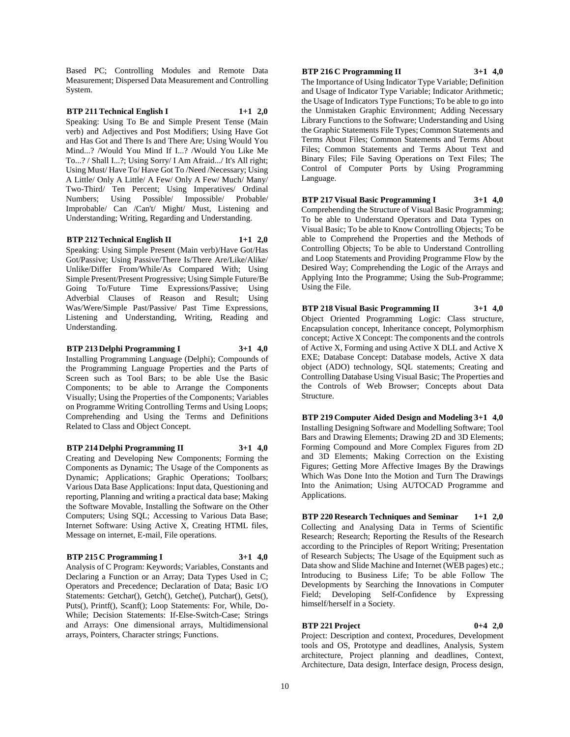Based PC; Controlling Modules and Remote Data Measurement; Dispersed Data Measurement and Controlling System.

**BTP 211 Technical English I 1+1 2,0** Speaking: Using To Be and Simple Present Tense (Main verb) and Adjectives and Post Modifiers; Using Have Got and Has Got and There Is and There Are; Using Would You Mind...? /Would You Mind If I...? /Would You Like Me To...? / Shall I...?; Using Sorry/ I Am Afraid.../ It's All right; Using Must/ Have To/ Have Got To /Need /Necessary; Using A Little/ Only A Little/ A Few/ Only A Few/ Much/ Many/ Two-Third/ Ten Percent; Using Imperatives/ Ordinal Numbers; Using Possible/ Impossible/ Probable/ Improbable/ Can /Can't/ Might/ Must, Listening and Understanding; Writing, Regarding and Understanding.

#### **BTP 212 Technical English II 1+1 2,0**

Speaking: Using Simple Present (Main verb)/Have Got/Has

Got/Passive; Using Passive/There Is/There Are/Like/Alike/ Unlike/Differ From/While/As Compared With; Using Simple Present/Present Progressive; Using Simple Future/Be Going To/Future Time Expressions/Passive; Using Adverbial Clauses of Reason and Result; Using Was/Were/Simple Past/Passive/ Past Time Expressions, Listening and Understanding, Writing, Reading and Understanding.

**BTP 213 Delphi Programming I 3+1 4,0**

Installing Programming Language (Delphi); Compounds of the Programming Language Properties and the Parts of Screen such as Tool Bars; to be able Use the Basic Components; to be able to Arrange the Components Visually; Using the Properties of the Components; Variables on Programme Writing Controlling Terms and Using Loops; Comprehending and Using the Terms and Definitions Related to Class and Object Concept.

#### **BTP 214 Delphi Programming II 3+1 4,0**

Creating and Developing New Components; Forming the Components as Dynamic; The Usage of the Components as Dynamic; Applications; Graphic Operations; Toolbars; Various Data Base Applications: Input data, Questioning and reporting, Planning and writing a practical data base; Making the Software Movable, Installing the Software on the Other Computers; Using SQL; Accessing to Various Data Base; Internet Software: Using Active X, Creating HTML files, Message on internet, E-mail, File operations.

#### **BTP 215 C Programming I 3+1 4,0**

Analysis of C Program: Keywords; Variables, Constants and Declaring a Function or an Array; Data Types Used in C; Operators and Precedence; Declaration of Data; Basic I/O Statements: Getchar(), Getch(), Getche(), Putchar(), Gets(), Puts(), Printf(), Scanf(); Loop Statements: For, While, Do-While; Decision Statements: If-Else-Switch-Case; Strings and Arrays: One dimensional arrays, Multidimensional arrays, Pointers, Character strings; Functions.

### **BTP 216 C Programming II 3+1 4,0**

The Importance of Using Indicator Type Variable; Definition and Usage of Indicator Type Variable; Indicator Arithmetic; the Usage of Indicators Type Functions; To be able to go into the Unmistaken Graphic Environment; Adding Necessary Library Functions to the Software; Understanding and Using the Graphic Statements File Types; Common Statements and Terms About Files; Common Statements and Terms About Files; Common Statements and Terms About Text and Binary Files; File Saving Operations on Text Files; The Control of Computer Ports by Using Programming Language.

**BTP 217 Visual Basic Programming I 3+1 4,0**

Comprehending the Structure of Visual Basic Programming; To be able to Understand Operators and Data Types on Visual Basic; To be able to Know Controlling Objects; To be able to Comprehend the Properties and the Methods of Controlling Objects; To be able to Understand Controlling and Loop Statements and Providing Programme Flow by the Desired Way; Comprehending the Logic of the Arrays and Applying Into the Programme; Using the Sub-Programme; Using the File.

**BTP 218 Visual Basic Programming II 3+1 4,0** Object Oriented Programming Logic: Class structure, Encapsulation concept, Inheritance concept, Polymorphism concept; Active X Concept: The components and the controls of Active X, Forming and using Active X DLL and Active X EXE; Database Concept: Database models, Active X data object (ADO) technology, SQL statements; Creating and Controlling Database Using Visual Basic; The Properties and the Controls of Web Browser; Concepts about Data Structure.

**BTP 219 Computer Aided Design and Modeling 3+1 4,0** Installing Designing Software and Modelling Software; Tool Bars and Drawing Elements; Drawing 2D and 3D Elements; Forming Compound and More Complex Figures from 2D and 3D Elements; Making Correction on the Existing Figures; Getting More Affective Images By the Drawings Which Was Done Into the Motion and Turn The Drawings Into the Animation; Using AUTOCAD Programme and Applications.

**BTP 220 Research Techniques and Seminar 1+1 2,0** Collecting and Analysing Data in Terms of Scientific Research; Research; Reporting the Results of the Research according to the Principles of Report Writing; Presentation of Research Subjects; The Usage of the Equipment such as Data show and Slide Machine and Internet (WEB pages) etc.; Introducing to Business Life; To be able Follow The Developments by Searching the Innovations in Computer Field; Developing Self-Confidence by Expressing himself/herself in a Society.

#### **BTP 221 Project 0+4 2,0**

Project: Description and context, Procedures, Development tools and OS, Prototype and deadlines, Analysis, System architecture, Project planning and deadlines, Context, Architecture, Data design, Interface design, Process design,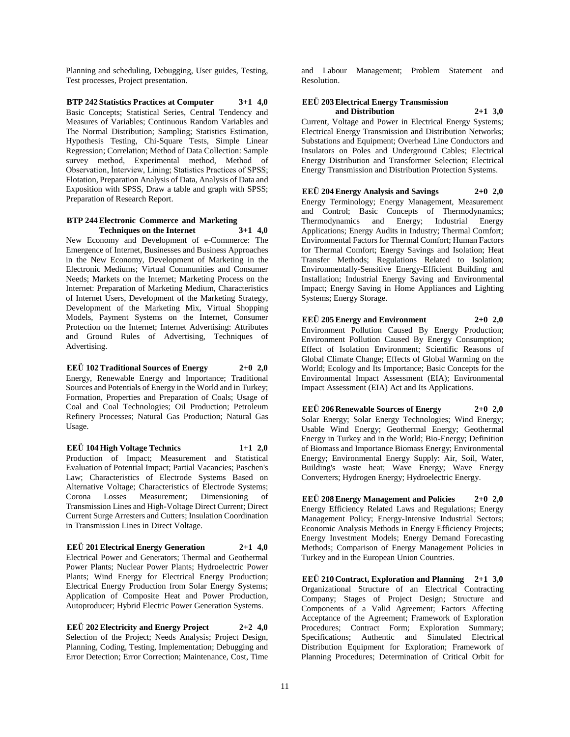Planning and scheduling, Debugging, User guides, Testing, Test processes, Project presentation.

**BTP 242 Statistics Practices at Computer 3+1 4,0** Basic Concepts; Statistical Series, Central Tendency and Measures of Variables; Continuous Random Variables and The Normal Distribution; Sampling; Statistics Estimation, Hypothesis Testing, Chi-Square Tests, Simple Linear Regression; Correlation; Method of Data Collection: Sample survey method, Experimental method, Method of Observation, İnterview, Lining; Statistics Practices of SPSS; Flotation, Preparation Analysis of Data, Analysis of Data and Exposition with SPSS, Draw a table and graph with SPSS; Preparation of Research Report.

#### **BTP 244 Electronic Commerce and Marketing Techniques on the Internet 3+1 4,0**

New Economy and Development of e-Commerce: The Emergence of Internet, Businesses and Business Approaches in the New Economy, Development of Marketing in the Electronic Mediums; Virtual Communities and Consumer Needs; Markets on the Internet; Marketing Process on the Internet: Preparation of Marketing Medium, Characteristics of Internet Users, Development of the Marketing Strategy, Development of the Marketing Mix, Virtual Shopping Models, Payment Systems on the Internet, Consumer Protection on the Internet; Internet Advertising: Attributes and Ground Rules of Advertising, Techniques of Advertising.

**EEÜ 102 Traditional Sources of Energy 2+0 2,0** Energy, Renewable Energy and Importance; Traditional Sources and Potentials of Energy in the World and in Turkey; Formation, Properties and Preparation of Coals; Usage of Coal and Coal Technologies; Oil Production; Petroleum Refinery Processes; Natural Gas Production; Natural Gas Usage.

**EEÜ 104 High Voltage Technics 1+1 2,0** Production of Impact; Measurement and Statistical Evaluation of Potential Impact; Partial Vacancies; Paschen's Law; Characteristics of Electrode Systems Based on Alternative Voltage; Characteristics of Electrode Systems;<br>Corona Losses Measurement; Dimensioning of Corona Losses Measurement; Dimensioning of Transmission Lines and High-Voltage Direct Current; Direct Current Surge Arresters and Cutters; Insulation Coordination in Transmission Lines in Direct Voltage.

**EEÜ 201 Electrical Energy Generation 2+1 4,0** Electrical Power and Generators; Thermal and Geothermal Power Plants; Nuclear Power Plants; Hydroelectric Power Plants; Wind Energy for Electrical Energy Production; Electrical Energy Production from Solar Energy Systems; Application of Composite Heat and Power Production, Autoproducer; Hybrid Electric Power Generation Systems.

**EEÜ 202 Electricity and Energy Project 2+2 4,0** Selection of the Project; Needs Analysis; Project Design, Planning, Coding, Testing, Implementation; Debugging and Error Detection; Error Correction; Maintenance, Cost, Time

and Labour Management; Problem Statement and Resolution.

#### **EEÜ 203 Electrical Energy Transmission and Distribution 2+1 3,0**

Current, Voltage and Power in Electrical Energy Systems; Electrical Energy Transmission and Distribution Networks; Substations and Equipment; Overhead Line Conductors and Insulators on Poles and Underground Cables; Electrical Energy Distribution and Transformer Selection; Electrical Energy Transmission and Distribution Protection Systems.

**EEÜ 204 Energy Analysis and Savings 2+0 2,0** Energy Terminology; Energy Management, Measurement and Control; Basic Concepts of Thermodynamics; Thermodynamics and Energy; Industrial Energy Applications; Energy Audits in Industry; Thermal Comfort; Environmental Factors for Thermal Comfort; Human Factors for Thermal Comfort; Energy Savings and Isolation; Heat Transfer Methods; Regulations Related to Isolation; Environmentally-Sensitive Energy-Efficient Building and Installation; Industrial Energy Saving and Environmental Impact; Energy Saving in Home Appliances and Lighting Systems; Energy Storage.

**EEÜ 205 Energy and Environment 2+0 2,0** Environment Pollution Caused By Energy Production; Environment Pollution Caused By Energy Consumption; Effect of Isolation Environment; Scientific Reasons of Global Climate Change; Effects of Global Warming on the World; Ecology and Its Importance; Basic Concepts for the Environmental Impact Assessment (EIA); Environmental Impact Assessment (EIA) Act and Its Applications.

**EEÜ 206 Renewable Sources of Energy 2+0 2,0** Solar Energy; Solar Energy Technologies; Wind Energy; Usable Wind Energy; Geothermal Energy; Geothermal Energy in Turkey and in the World; Bio-Energy; Definition of Biomass and Importance Biomass Energy; Environmental Energy; Environmental Energy Supply: Air, Soil, Water, Building's waste heat; Wave Energy; Wave Energy Converters; Hydrogen Energy; Hydroelectric Energy.

**EEÜ 208 Energy Management and Policies 2+0 2,0** Energy Efficiency Related Laws and Regulations; Energy Management Policy; Energy-Intensive Industrial Sectors; Economic Analysis Methods in Energy Efficiency Projects; Energy Investment Models; Energy Demand Forecasting Methods; Comparison of Energy Management Policies in Turkey and in the European Union Countries.

**EEÜ 210 Contract, Exploration and Planning 2+1 3,0** Organizational Structure of an Electrical Contracting Company; Stages of Project Design; Structure and Components of a Valid Agreement; Factors Affecting Acceptance of the Agreement; Framework of Exploration Procedures; Contract Form; Exploration Summary; Specifications; Authentic and Simulated Electrical Distribution Equipment for Exploration; Framework of Planning Procedures; Determination of Critical Orbit for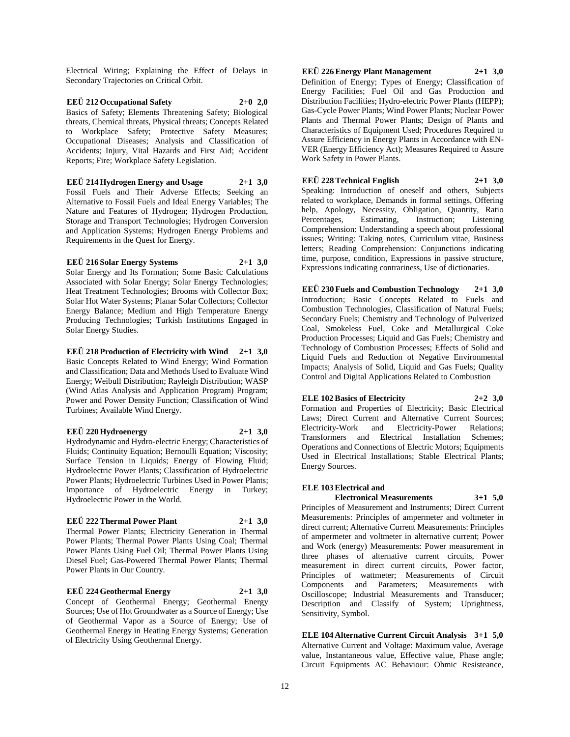Electrical Wiring; Explaining the Effect of Delays in Secondary Trajectories on Critical Orbit.

**EEÜ 212 Occupational Safety 2+0 2,0** Basics of Safety; Elements Threatening Safety; Biological threats, Chemical threats, Physical threats; Concepts Related to Workplace Safety; Protective Safety Measures; Occupational Diseases; Analysis and Classification of Accidents; Injury, Vital Hazards and First Aid; Accident Reports; Fire; Workplace Safety Legislation.

**EEÜ 214 Hydrogen Energy and Usage 2+1 3,0** Fossil Fuels and Their Adverse Effects; Seeking an Alternative to Fossil Fuels and Ideal Energy Variables; The Nature and Features of Hydrogen; Hydrogen Production, Storage and Transport Technologies; Hydrogen Conversion and Application Systems; Hydrogen Energy Problems and Requirements in the Quest for Energy.

#### **EEÜ 216 Solar Energy Systems 2+1 3,0**

Solar Energy and Its Formation; Some Basic Calculations Associated with Solar Energy; Solar Energy Technologies; Heat Treatment Technologies; Brooms with Collector Box; Solar Hot Water Systems; Planar Solar Collectors; Collector Energy Balance; Medium and High Temperature Energy Producing Technologies; Turkish Institutions Engaged in Solar Energy Studies.

**EEÜ 218 Production of Electricity with Wind 2+1 3,0** Basic Concepts Related to Wind Energy; Wind Formation and Classification; Data and Methods Used to Evaluate Wind Energy; Weibull Distribution; Rayleigh Distribution; WASP (Wind Atlas Analysis and Application Program) Program; Power and Power Density Function; Classification of Wind Turbines; Available Wind Energy.

#### **EEÜ 220 Hydroenergy 2+1 3,0**

Hydrodynamic and Hydro-electric Energy; Characteristics of Fluids; Continuity Equation; Bernoulli Equation; Viscosity; Surface Tension in Liquids; Energy of Flowing Fluid; Hydroelectric Power Plants; Classification of Hydroelectric Power Plants; Hydroelectric Turbines Used in Power Plants; Importance of Hydroelectric Energy in Turkey; Hydroelectric Power in the World.

# **EEÜ 222 Thermal Power Plant 2+1 3,0**

Thermal Power Plants; Electricity Generation in Thermal Power Plants; Thermal Power Plants Using Coal; Thermal Power Plants Using Fuel Oil; Thermal Power Plants Using Diesel Fuel; Gas-Powered Thermal Power Plants; Thermal Power Plants in Our Country.

# **EEÜ 224 Geothermal Energy 2+1 3,0**

Concept of Geothermal Energy; Geothermal Energy Sources; Use of Hot Groundwater as a Source of Energy; Use of Geothermal Vapor as a Source of Energy; Use of Geothermal Energy in Heating Energy Systems; Generation of Electricity Using Geothermal Energy.

**EEÜ 226 Energy Plant Management 2+1 3,0** Definition of Energy; Types of Energy; Classification of Energy Facilities; Fuel Oil and Gas Production and Distribution Facilities; Hydro-electric Power Plants (HEPP); Gas-Cycle Power Plants; Wind Power Plants; Nuclear Power Plants and Thermal Power Plants; Design of Plants and Characteristics of Equipment Used; Procedures Required to Assure Efficiency in Energy Plants in Accordance with EN-VER (Energy Efficiency Act); Measures Required to Assure Work Safety in Power Plants.

**EEÜ 228 Technical English 2+1 3,0** Speaking: Introduction of oneself and others, Subjects related to workplace, Demands in formal settings, Offering help, Apology, Necessity, Obligation, Quantity, Ratio<br>Percentages, Estimating, Instruction; Listening Percentages, Comprehension: Understanding a speech about professional issues; Writing: Taking notes, Curriculum vitae, Business letters; Reading Comprehension: Conjunctions indicating time, purpose, condition, Expressions in passive structure, Expressions indicating contrariness, Use of dictionaries.

**EEÜ 230 Fuels and Combustion Technology 2+1 3,0** Introduction; Basic Concepts Related to Fuels and Combustion Technologies, Classification of Natural Fuels; Secondary Fuels; Chemistry and Technology of Pulverized Coal, Smokeless Fuel, Coke and Metallurgical Coke Production Processes; Liquid and Gas Fuels; Chemistry and Technology of Combustion Processes; Effects of Solid and Liquid Fuels and Reduction of Negative Environmental Impacts; Analysis of Solid, Liquid and Gas Fuels; Quality Control and Digital Applications Related to Combustion

**ELE 102 Basics of Electricity 2+2 3,0** Formation and Properties of Electricity; Basic Electrical Laws; Direct Current and Alternative Current Sources; Electricity-Work and Electricity-Power Relations; Transformers and Electrical Installation Schemes; Operations and Connections of Electric Motors; Equipments Used in Electrical Installations; Stable Electrical Plants; Energy Sources.

# **ELE 103 Electrical and**

**Electronical Measurements 3+1 5,0** Principles of Measurement and Instruments; Direct Current Measurements: Principles of ampermeter and voltmeter in direct current; Alternative Current Measurements: Principles of ampermeter and voltmeter in alternative current; Power and Work (energy) Measurements: Power measurement in three phases of alternative current circuits, Power measurement in direct current circuits, Power factor,

Principles of wattmeter; Measurements of Circuit Components and Parameters; Measurements with Oscilloscope; Industrial Measurements and Transducer; Description and Classify of System; Uprightness, Sensitivity, Symbol.

**ELE 104 Alternative Current Circuit Analysis 3+1 5,0** Alternative Current and Voltage: Maximum value, Average value, Instantaneous value, Effective value, Phase angle; Circuit Equipments AC Behaviour: Ohmic Resisteance,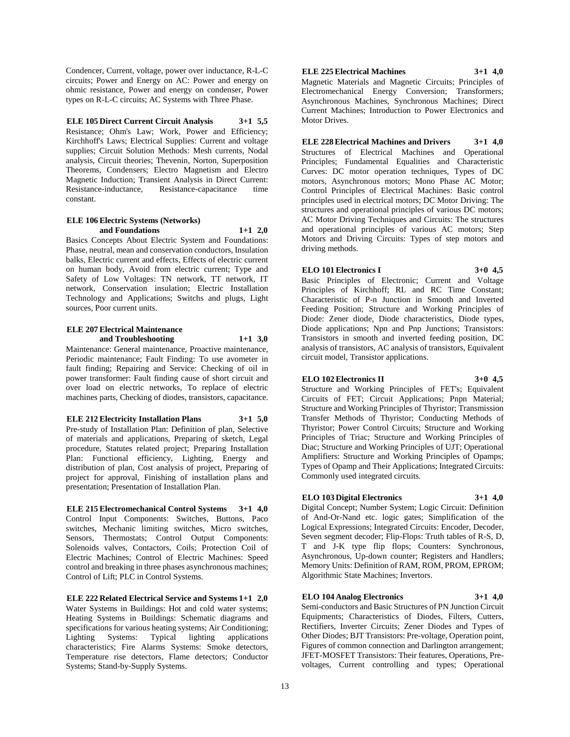Condencer, Current, voltage, power over inductance, R-L-C circuits; Power and Energy on AC: Power and energy on ohmic resistance, Power and energy on condenser, Power types on R-L-C circuits; AC Systems with Three Phase.

**ELE 105 Direct Current Circuit Analysis 3+1 5,5** Resistance; Ohm's Law; Work, Power and Efficiency; Kirchhoff's Laws; Electrical Supplies: Current and voltage supplies; Circuit Solution Methods: Mesh currents, Nodal analysis, Circuit theories; Thevenin, Norton, Superposition Theorems, Condensers; Electro Magnetism and Electro Magnetic Induction; Transient Analysis in Direct Current: Resistance-inductance, Resistance-capacitance time constant.

#### **ELE 106 Electric Systems (Networks) and Foundations 1+1 2,0**

Basics Concepts About Electric System and Foundations: Phase, neutral, mean and conservation conductors, Insulation balks, Electric current and effects, Effects of electric current on human body, Avoid from electric current; Type and Safety of Low Voltages: TN network, TT network, IT network, Conservation insulation; Electric Installation Technology and Applications; Switchs and plugs, Light sources, Poor current units.

#### **ELE 207 Electrical Maintenance and Troubleshooting 1+1 3,0**

Maintenance: General maintenance, Proactive maintenance, Periodic maintenance; Fault Finding: To use avometer in fault finding; Repairing and Service: Checking of oil in power transformer: Fault finding cause of short circuit and over load on electric networks, To replace of electric machines parts, Checking of diodes, transistors, capacitance.

### **ELE 212 Electricity Installation Plans 3+1 5,0**

Pre-study of Installation Plan: Definition of plan, Selective of materials and applications, Preparing of sketch, Legal procedure, Statutes related project; Preparing Installation Plan: Functional efficiency, Lighting, Energy and distribution of plan, Cost analysis of project, Preparing of project for approval, Finishing of installation plans and presentation; Presentation of Installation Plan.

**ELE 215 Electromechanical Control Systems 3+1 4,0** Control Input Components: Switches, Buttons, Paco switches, Mechanic limiting switches, Micro switches, Sensors, Thermostats; Control Output Components: Solenoids valves, Contactors, Coils; Protection Coil of Electric Machines; Control of Electric Machines: Speed control and breaking in three phases asynchronous machines; Control of Lift; PLC in Control Systems.

**ELE 222 Related Electrical Service and Systems 1+1 2,0** Water Systems in Buildings: Hot and cold water systems; Heating Systems in Buildings: Schematic diagrams and specifications for various heating systems; Air Conditioning; Lighting Systems: Typical lighting applications characteristics; Fire Alarms Systems: Smoke detectors, Temperature rise detectors, Flame detectors; Conductor Systems; Stand-by-Supply Systems.

# **ELE 225 Electrical Machines 3+1 4,0**

Magnetic Materials and Magnetic Circuits; Principles of Electromechanical Energy Conversion; Transformers; Asynchronous Machines, Synchronous Machines; Direct Current Machines; Introduction to Power Electronics and Motor Drives.

**ELE 228 Electrical Machines and Drivers 3+1 4,0** Structures of Electrical Machines and Operational Principles; Fundamental Equalities and Characteristic Curves: DC motor operation techniques, Types of DC motors, Asynchronous motors; Mono Phase AC Motor; Control Principles of Electrical Machines: Basic control principles used in electrical motors; DC Motor Driving: The structures and operational principles of various DC motors; AC Motor Driving Techniques and Circuits: The structures and operational principles of various AC motors; Step Motors and Driving Circuits: Types of step motors and driving methods.

**ELO 101 Electronics I 3+0 4,5**

Basic Principles of Electronic; Current and Voltage Principles of Kirchhoff; RL and RC Time Constant; Characteristic of P-n Junction in Smooth and Inverted Feeding Position; Structure and Working Principles of Diode: Zener diode, Diode characteristics, Diode types, Diode applications; Npn and Pnp Junctions; Transistors: Transistors in smooth and inverted feeding position, DC analysis of transistors, AC analysis of transistors, Equivalent circuit model, Transistor applications.

# **ELO 102 Electronics II 3+0 4,5**

Structure and Working Principles of FET's; Equivalent Circuits of FET; Circuit Applications; Pnpn Material; Structure and Working Principles of Thyristor; Transmission Transfer Methods of Thyristor; Conducting Methods of Thyristor; Power Control Circuits; Structure and Working Principles of Triac; Structure and Working Principles of Diac; Structure and Working Principles of UJT; Operational Amplifiers: Structure and Working Principles of Opamps; Types of Opamp and Their Applications; Integrated Circuits: Commonly used integrated circuits.

# **ELO 103 Digital Electronics 3+1 4,0**

Digital Concept; Number System; Logic Circuit: Definition of And-Or-Nand etc. logic gates; Simplification of the Logical Expressions; Integrated Circuits: Encoder, Decoder, Seven segment decoder; Flip-Flops: Truth tables of R-S, D, T and J-K type flip flops; Counters: Synchronous, Asynchronous, Up-down counter; Registers and Handlers; Memory Units: Definition of RAM, ROM, PROM, EPROM; Algorithmic State Machines; Invertors.

# **ELO 104 Analog Electronics 3+1 4,0**

Semi-conductors and Basic Structures of PN Junction Circuit Equipments; Characteristics of Diodes, Filters, Cutters, Rectifiers, Inverter Circuits; Zener Diodes and Types of Other Diodes; BJT Transistors: Pre-voltage, Operation point, Figures of common connection and Darlington arrangement; JFET-MOSFET Transistors: Their features, Operations, Prevoltages, Current controlling and types; Operational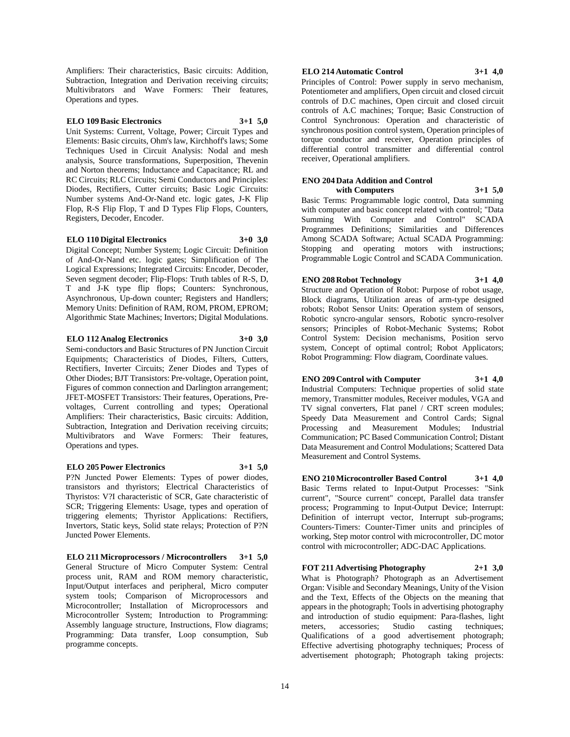Amplifiers: Their characteristics, Basic circuits: Addition, Subtraction, Integration and Derivation receiving circuits; Multivibrators and Wave Formers: Their features, Operations and types.

#### **ELO 109 Basic Electronics 3+1 5,0**

Unit Systems: Current, Voltage, Power; Circuit Types and Elements: Basic circuits, Ohm's law, Kirchhoff's laws; Some Techniques Used in Circuit Analysis: Nodal and mesh analysis, Source transformations, Superposition, Thevenin and Norton theorems; Inductance and Capacitance; RL and RC Circuits; RLC Circuits; Semi Conductors and Principles: Diodes, Rectifiers, Cutter circuits; Basic Logic Circuits: Number systems And-Or-Nand etc. logic gates, J-K Flip Flop, R-S Flip Flop, T and D Types Flip Flops, Counters, Registers, Decoder, Encoder.

# **ELO 110 Digital Electronics 3+0 3,0**

Digital Concept; Number System; Logic Circuit: Definition of And-Or-Nand etc. logic gates; Simplification of The Logical Expressions; Integrated Circuits: Encoder, Decoder, Seven segment decoder; Flip-Flops: Truth tables of R-S, D, T and J-K type flip flops; Counters: Synchronous, Asynchronous, Up-down counter; Registers and Handlers; Memory Units: Definition of RAM, ROM, PROM, EPROM; Algorithmic State Machines; Invertors; Digital Modulations.

#### **ELO 112 Analog Electronics 3+0 3,0**

Semi-conductors and Basic Structures of PN Junction Circuit Equipments; Characteristics of Diodes, Filters, Cutters, Rectifiers, Inverter Circuits; Zener Diodes and Types of Other Diodes; BJT Transistors: Pre-voltage, Operation point, Figures of common connection and Darlington arrangement; JFET-MOSFET Transistors: Their features, Operations, Prevoltages, Current controlling and types; Operational Amplifiers: Their characteristics, Basic circuits: Addition, Subtraction, Integration and Derivation receiving circuits; Multivibrators and Wave Formers: Their features, Operations and types.

#### **ELO 205 Power Electronics 3+1 5,0**

P?N Juncted Power Elements: Types of power diodes, transistors and thyristors; Electrical Characteristics of Thyristos: V?I characteristic of SCR, Gate characteristic of SCR; Triggering Elements: Usage, types and operation of triggering elements; Thyristor Applications: Rectifiers, Invertors, Static keys, Solid state relays; Protection of P?N Juncted Power Elements.

**ELO 211 Microprocessors / Microcontrollers 3+1 5,0** General Structure of Micro Computer System: Central process unit, RAM and ROM memory characteristic, Input/Output interfaces and peripheral, Micro computer system tools; Comparison of Microprocessors and Microcontroller; Installation of Microprocessors and Microcontroller System; Introduction to Programming: Assembly language structure, Instructions, Flow diagrams; Programming: Data transfer, Loop consumption, Sub programme concepts.

#### **ELO 214 Automatic Control 3+1 4,0**

Principles of Control: Power supply in servo mechanism, Potentiometer and amplifiers, Open circuit and closed circuit controls of D.C machines, Open circuit and closed circuit controls of A.C machines; Torque; Basic Construction of Control Synchronous: Operation and characteristic of synchronous position control system, Operation principles of torque conductor and receiver, Operation principles of differential control transmitter and differential control receiver, Operational amplifiers.

#### **ENO 204 Data Addition and Control with Computers 3+1 5,0**

Basic Terms: Programmable logic control, Data summing with computer and basic concept related with control; "Data Summing With Computer and Control" SCADA Programmes Definitions; Similarities and Differences Among SCADA Software; Actual SCADA Programming: Stopping and operating motors with instructions; Programmable Logic Control and SCADA Communication.

### **ENO 208 Robot Technology 3+1 4,0**

Structure and Operation of Robot: Purpose of robot usage, Block diagrams, Utilization areas of arm-type designed robots; Robot Sensor Units: Operation system of sensors, Robotic syncro-angular sensors, Robotic syncro-resolver sensors; Principles of Robot-Mechanic Systems; Robot Control System: Decision mechanisms, Position servo system, Concept of optimal control; Robot Applicators;

#### **ENO 209 Control with Computer 3+1 4,0**

Robot Programming: Flow diagram, Coordinate values.

Industrial Computers: Technique properties of solid state memory, Transmitter modules, Receiver modules, VGA and TV signal converters, Flat panel / CRT screen modules; Speedy Data Measurement and Control Cards; Signal Processing and Measurement Modules; Industrial Communication; PC Based Communication Control; Distant Data Measurement and Control Modulations; Scattered Data Measurement and Control Systems.

**ENO 210 Microcontroller Based Control 3+1 4,0** Basic Terms related to Input-Output Processes: "Sink current", "Source current" concept, Parallel data transfer process; Programming to Input-Output Device; Interrupt: Definition of interrupt vector, Interrupt sub-programs; Counters-Timers: Counter-Timer units and principles of working, Step motor control with microcontroller, DC motor control with microcontroller; ADC-DAC Applications.

**FOT 211 Advertising Photography 2+1 3,0** What is Photograph? Photograph as an Advertisement Organ: Visible and Secondary Meanings, Unity of the Vision and the Text, Effects of the Objects on the meaning that appears in the photograph; Tools in advertising photography and introduction of studio equipment: Para-flashes, light meters, accessories; Studio casting techniques; Qualifications of a good advertisement photograph; Effective advertising photography techniques; Process of advertisement photograph; Photograph taking projects: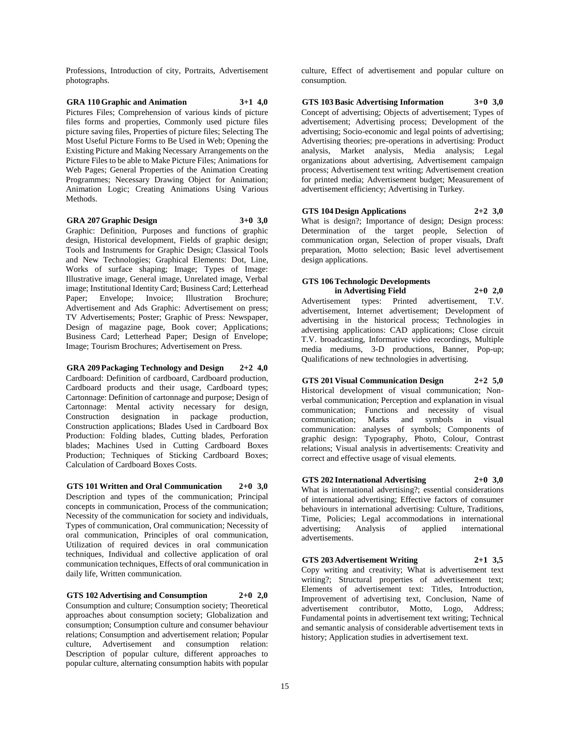Professions, Introduction of city, Portraits, Advertisement photographs.

#### **GRA 110 Graphic and Animation 3+1 4,0** Pictures Files; Comprehension of various kinds of picture files forms and properties, Commonly used picture files picture saving files, Properties of picture files; Selecting The Most Useful Picture Forms to Be Used in Web; Opening the Existing Picture and Making Necessary Arrangements on the Picture Files to be able to Make Picture Files; Animations for Web Pages; General Properties of the Animation Creating Programmes; Necessary Drawing Object for Animation; Animation Logic; Creating Animations Using Various Methods.

#### **GRA 207 Graphic Design 3+0 3,0**

Graphic: Definition, Purposes and functions of graphic design, Historical development, Fields of graphic design; Tools and Instruments for Graphic Design; Classical Tools and New Technologies; Graphical Elements: Dot, Line, Works of surface shaping; Image; Types of Image: Illustrative image, General image, Unrelated image, Verbal image; Institutional Identity Card; Business Card; Letterhead Paper; Envelope; Invoice; Illustration Brochure; Advertisement and Ads Graphic: Advertisement on press; TV Advertisements; Poster; Graphic of Press: Newspaper, Design of magazine page, Book cover; Applications; Business Card; Letterhead Paper; Design of Envelope; Image; Tourism Brochures; Advertisement on Press.

**GRA 209 Packaging Technology and Design 2+2 4,0** Cardboard: Definition of cardboard, Cardboard production, Cardboard products and their usage, Cardboard types; Cartonnage: Definition of cartonnage and purpose; Design of Cartonnage: Mental activity necessary for design, Construction designation in package production, Construction applications; Blades Used in Cardboard Box Production: Folding blades, Cutting blades, Perforation blades; Machines Used in Cutting Cardboard Boxes Production; Techniques of Sticking Cardboard Boxes; Calculation of Cardboard Boxes Costs.

**GTS 101 Written and Oral Communication 2+0 3,0** Description and types of the communication; Principal concepts in communication, Process of the communication; Necessity of the communication for society and individuals, Types of communication, Oral communication; Necessity of oral communication, Principles of oral communication, Utilization of required devices in oral communication techniques, Individual and collective application of oral communication techniques, Effects of oral communication in daily life, Written communication.

**GTS 102 Advertising and Consumption 2+0 2,0**

Consumption and culture; Consumption society; Theoretical approaches about consumption society; Globalization and consumption; Consumption culture and consumer behaviour relations; Consumption and advertisement relation; Popular culture, Advertisement and consumption relation: Description of popular culture, different approaches to popular culture, alternating consumption habits with popular

culture, Effect of advertisement and popular culture on consumption.

**GTS 103 Basic Advertising Information 3+0 3,0** Concept of advertising; Objects of advertisement; Types of advertisement; Advertising process; Development of the advertising; Socio-economic and legal points of advertising; Advertising theories; pre-operations in advertising: Product analysis, Market analysis, Media analysis; Legal organizations about advertising, Advertisement campaign process; Advertisement text writing; Advertisement creation for printed media; Advertisement budget; Measurement of advertisement efficiency; Advertising in Turkey.

# **GTS 104 Design Applications 2+2 3,0**

What is design?; Importance of design; Design process: Determination of the target people, Selection of communication organ, Selection of proper visuals, Draft preparation, Motto selection; Basic level advertisement design applications.

#### **GTS 106 Technologic Developments in Advertising Field 2+0 2,0**

Advertisement types: Printed advertisement, T.V. advertisement, Internet advertisement; Development of advertising in the historical process; Technologies in advertising applications: CAD applications; Close circuit T.V. broadcasting, Informative video recordings, Multiple media mediums, 3-D productions, Banner, Pop-up; Qualifications of new technologies in advertising.

**GTS 201 Visual Communication Design 2+2 5,0** Historical development of visual communication; Nonverbal communication; Perception and explanation in visual communication; Functions and necessity of visual communication; Marks and symbols in visual communication: analyses of symbols; Components of graphic design: Typography, Photo, Colour, Contrast relations; Visual analysis in advertisements: Creativity and correct and effective usage of visual elements.

# **GTS 202 International Advertising 2+0 3,0**

What is international advertising?; essential considerations of international advertising; Effective factors of consumer behaviours in international advertising: Culture, Traditions, Time, Policies; Legal accommodations in international advertising; Analysis of applied international advertisements.

#### **GTS 203 Advertisement Writing 2+1 3,5**

Copy writing and creativity; What is advertisement text writing?; Structural properties of advertisement text; Elements of advertisement text: Titles, Introduction, Improvement of advertising text, Conclusion, Name of advertisement contributor, Motto, Logo, Address; Fundamental points in advertisement text writing; Technical and semantic analysis of considerable advertisement texts in history; Application studies in advertisement text.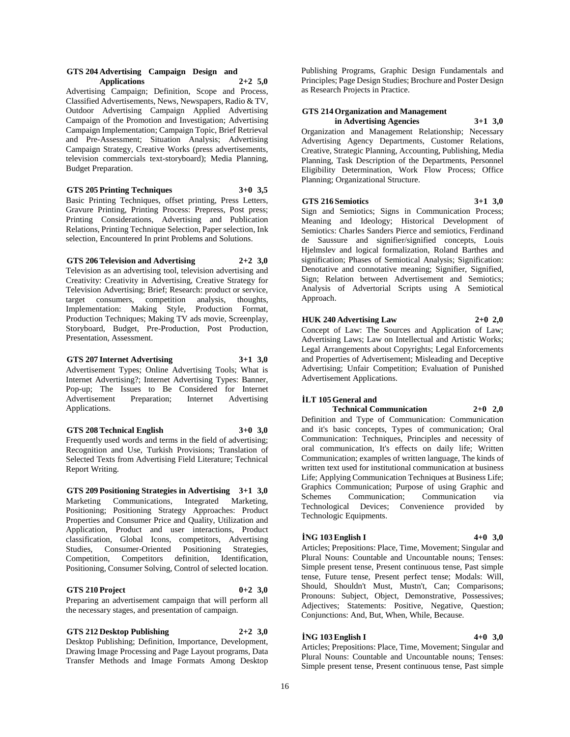#### **GTS 204 Advertising Campaign Design and Applications 2+2 5,0**

Advertising Campaign; Definition, Scope and Process, Classified Advertisements, News, Newspapers, Radio & TV, Outdoor Advertising Campaign Applied Advertising Campaign of the Promotion and Investigation; Advertising Campaign Implementation; Campaign Topic, Brief Retrieval and Pre-Assessment; Situation Analysis; Advertising Campaign Strategy, Creative Works (press advertisements, television commercials text-storyboard); Media Planning, Budget Preparation.

**GTS 205 Printing Techniques 3+0 3,5**

Basic Printing Techniques, offset printing, Press Letters, Gravure Printing, Printing Process: Prepress, Post press; Printing Considerations, Advertising and Publication Relations, Printing Technique Selection, Paper selection, Ink selection, Encountered In print Problems and Solutions.

**GTS 206 Television and Advertising 2+2 3,0**

Television as an advertising tool, television advertising and Creativity: Creativity in Advertising, Creative Strategy for Television Advertising; Brief; Research: product or service, target consumers, competition analysis, thoughts, Implementation: Making Style, Production Format, Production Techniques; Making TV ads movie, Screenplay, Storyboard, Budget, Pre-Production, Post Production, Presentation, Assessment.

**GTS 207 Internet Advertising 3+1 3,0** Advertisement Types; Online Advertising Tools; What is Internet Advertising?; Internet Advertising Types: Banner, Pop-up; The Issues to Be Considered for Internet Advertisement Preparation; Internet Advertising Applications.

**GTS 208 Technical English 3+0 3,0**

Frequently used words and terms in the field of advertising; Recognition and Use, Turkish Provisions; Translation of Selected Texts from Advertising Field Literature; Technical Report Writing.

**GTS 209 Positioning Strategies in Advertising 3+1 3,0** Marketing Communications, Integrated Marketing, Positioning; Positioning Strategy Approaches: Product Properties and Consumer Price and Quality, Utilization and Application, Product and user interactions, Product classification, Global Icons, competitors, Advertising Studies, Consumer-Oriented Positioning Strategies, Competition, Competitors definition, Identification, Positioning, Consumer Solving, Control of selected location.

**GTS 210 Project 0+2 3,0**

Preparing an advertisement campaign that will perform all the necessary stages, and presentation of campaign.

**GTS 212 Desktop Publishing 2+2 3,0**

Desktop Publishing; Definition, Importance, Development, Drawing Image Processing and Page Layout programs, Data Transfer Methods and Image Formats Among Desktop

Publishing Programs, Graphic Design Fundamentals and Principles; Page Design Studies; Brochure and Poster Design as Research Projects in Practice.

# **GTS 214 Organization and Management**

**in Advertising Agencies 3+1 3,0** Organization and Management Relationship; Necessary Advertising Agency Departments, Customer Relations, Creative, Strategic Planning, Accounting, Publishing, Media Planning, Task Description of the Departments, Personnel Eligibility Determination, Work Flow Process; Office Planning; Organizational Structure.

# **GTS 216 Semiotics 3+1 3,0**

Sign and Semiotics; Signs in Communication Process; Meaning and Ideology; Historical Development of Semiotics: Charles Sanders Pierce and semiotics, Ferdinand de Saussure and signifier/signified concepts, Louis Hjelmslev and logical formalization, Roland Barthes and signification; Phases of Semiotical Analysis; Signification: Denotative and connotative meaning; Signifier, Signified, Sign; Relation between Advertisement and Semiotics; Analysis of Advertorial Scripts using A Semiotical Approach.

**HUK 240 Advertising Law 2+0 2,0**

Concept of Law: The Sources and Application of Law; Advertising Laws; Law on Intellectual and Artistic Works; Legal Arrangements about Copyrights; Legal Enforcements and Properties of Advertisement; Misleading and Deceptive Advertising; Unfair Competition; Evaluation of Punished Advertisement Applications.

# **İLT 105 General and**

**Technical Communication 2+0 2,0** Definition and Type of Communication: Communication and it's basic concepts, Types of communication; Oral Communication: Techniques, Principles and necessity of oral communication, It's effects on daily life; Written Communication; examples of written language, The kinds of written text used for institutional communication at business Life; Applying Communication Techniques at Business Life; Graphics Communication; Purpose of using Graphic and

Schemes Communication; Communication via Technological Devices; Convenience provided by Technologic Equipments.

# **İNG 103 English I 4+0 3,0**

Articles; Prepositions: Place, Time, Movement; Singular and Plural Nouns: Countable and Uncountable nouns; Tenses: Simple present tense, Present continuous tense, Past simple tense, Future tense, Present perfect tense; Modals: Will, Should, Shouldn't Must, Mustn't, Can; Comparisons; Pronouns: Subject, Object, Demonstrative, Possessives; Adjectives; Statements: Positive, Negative, Question; Conjunctions: And, But, When, While, Because.

# **İNG 103 English I 4+0 3,0**

Articles; Prepositions: Place, Time, Movement; Singular and Plural Nouns: Countable and Uncountable nouns; Tenses: Simple present tense, Present continuous tense, Past simple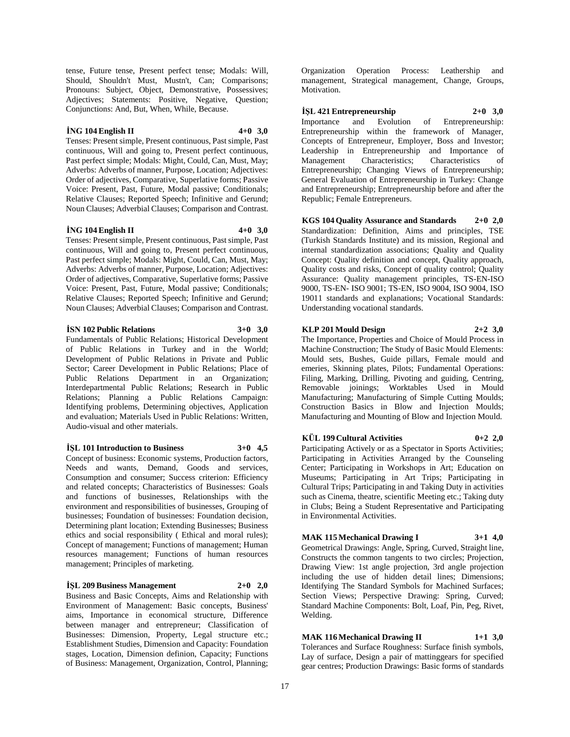tense, Future tense, Present perfect tense; Modals: Will, Should, Shouldn't Must, Mustn't, Can; Comparisons; Pronouns: Subject, Object, Demonstrative, Possessives; Adjectives; Statements: Positive, Negative, Question; Conjunctions: And, But, When, While, Because.

#### **İNG 104 English II 4+0 3,0**

Tenses: Present simple, Present continuous, Past simple, Past continuous, Will and going to, Present perfect continuous, Past perfect simple; Modals: Might, Could, Can, Must, May; Adverbs: Adverbs of manner, Purpose, Location; Adjectives: Order of adjectives, Comparative, Superlative forms; Passive Voice: Present, Past, Future, Modal passive; Conditionals; Relative Clauses; Reported Speech; Infinitive and Gerund; Noun Clauses; Adverbial Clauses; Comparison and Contrast.

#### **İNG 104 English II 4+0 3,0**

Tenses: Present simple, Present continuous, Past simple, Past continuous, Will and going to, Present perfect continuous, Past perfect simple; Modals: Might, Could, Can, Must, May; Adverbs: Adverbs of manner, Purpose, Location; Adjectives: Order of adjectives, Comparative, Superlative forms; Passive Voice: Present, Past, Future, Modal passive; Conditionals; Relative Clauses; Reported Speech; Infinitive and Gerund; Noun Clauses; Adverbial Clauses; Comparison and Contrast.

## **İSN 102 Public Relations 3+0 3,0**

Fundamentals of Public Relations; Historical Development of Public Relations in Turkey and in the World; Development of Public Relations in Private and Public Sector; Career Development in Public Relations; Place of Public Relations Department in an Organization; Interdepartmental Public Relations; Research in Public Relations; Planning a Public Relations Campaign: Identifying problems, Determining objectives, Application and evaluation; Materials Used in Public Relations: Written, Audio-visual and other materials.

#### **İŞL 101 Introduction to Business 3+0 4,5**

Concept of business: Economic systems, Production factors, Needs and wants, Demand, Goods and services, Consumption and consumer; Success criterion: Efficiency and related concepts; Characteristics of Businesses: Goals and functions of businesses, Relationships with the environment and responsibilities of businesses, Grouping of businesses; Foundation of businesses: Foundation decision, Determining plant location; Extending Businesses; Business ethics and social responsibility ( Ethical and moral rules); Concept of management; Functions of management; Human resources management; Functions of human resources management; Principles of marketing.

#### **İŞL 209 Business Management 2+0 2,0**

Business and Basic Concepts, Aims and Relationship with Environment of Management: Basic concepts, Business' aims, Importance in economical structure, Difference between manager and entrepreneur; Classification of Businesses: Dimension, Property, Legal structure etc.; Establishment Studies, Dimension and Capacity: Foundation stages, Location, Dimension definion, Capacity; Functions of Business: Management, Organization, Control, Planning;

Organization Operation Process: Leathership and management, Strategical management, Change, Groups, Motivation.

**İŞL 421 Entrepreneurship 2+0 3,0** Importance and Evolution of Entrepreneurship: Entrepreneurship within the framework of Manager, Concepts of Entrepreneur, Employer, Boss and Investor; Leadership in Entrepreneurship and Importance of Management Characteristics; Characteristics of Entrepreneurship; Changing Views of Entrepreneurship; General Evaluation of Entrepreneurship in Turkey: Change and Entrepreneurship; Entrepreneurship before and after the Republic; Female Entrepreneurs.

**KGS 104 Quality Assurance and Standards 2+0 2,0** Standardization: Definition, Aims and principles, TSE (Turkish Standards Institute) and its mission, Regional and internal standardization associations; Quality and Quality Concept: Quality definition and concept, Quality approach, Quality costs and risks, Concept of quality control; Quality Assurance: Quality management principles, TS-EN-ISO 9000, TS-EN- ISO 9001; TS-EN, ISO 9004, ISO 9004, ISO 19011 standards and explanations; Vocational Standards: Understanding vocational standards.

#### **KLP 201 Mould Design 2+2 3,0**

The Importance, Properties and Choice of Mould Process in Machine Construction; The Study of Basic Mould Elements: Mould sets, Bushes, Guide pillars, Female mould and emeries, Skinning plates, Pilots; Fundamental Operations: Filing, Marking, Drilling, Pivoting and guiding, Centring, Removable joinings; Worktables Used in Mould Manufacturing; Manufacturing of Simple Cutting Moulds; Construction Basics in Blow and Injection Moulds; Manufacturing and Mounting of Blow and Injection Mould.

#### **KÜL 199 Cultural Activities 0+2 2,0**

Participating Actively or as a Spectator in Sports Activities; Participating in Activities Arranged by the Counseling Center; Participating in Workshops in Art; Education on Museums; Participating in Art Trips; Participating in Cultural Trips; Participating in and Taking Duty in activities such as Cinema, theatre, scientific Meeting etc.; Taking duty in Clubs; Being a Student Representative and Participating in Environmental Activities.

# **MAK 115 Mechanical Drawing I 3+1 4,0**

Geometrical Drawings: Angle, Spring, Curved, Straight line, Constructs the common tangents to two circles; Projection, Drawing View: 1st angle projection, 3rd angle projection including the use of hidden detail lines; Dimensions; Identifying The Standard Symbols for Machined Surfaces; Section Views; Perspective Drawing: Spring, Curved; Standard Machine Components: Bolt, Loaf, Pin, Peg, Rivet, Welding.

# **MAK 116 Mechanical Drawing II 1+1 3,0**

Tolerances and Surface Roughness: Surface finish symbols, Lay of surface, Design a pair of mattinggears for specified gear centres; Production Drawings: Basic forms of standards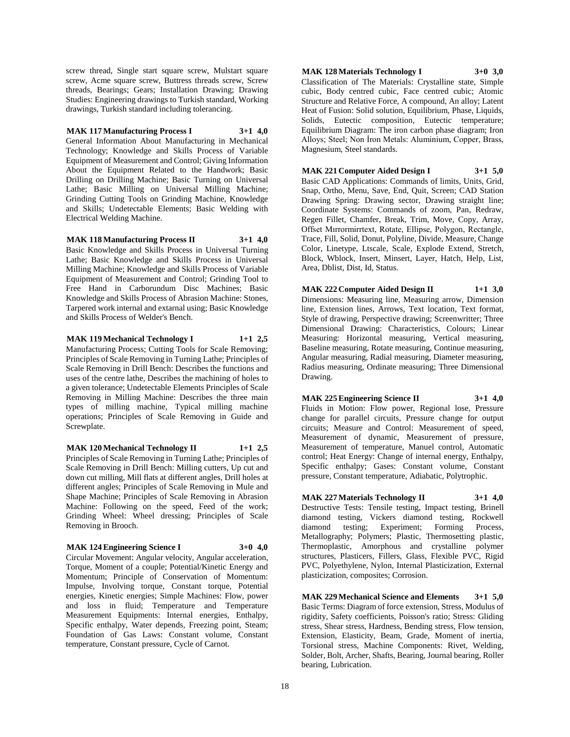screw thread, Single start square screw, Mulstart square screw, Acme square screw, Buttress threads screw, Screw threads, Bearings; Gears; Installation Drawing; Drawing Studies: Engineering drawings to Turkish standard, Working drawings, Turkish standard including tolerancing.

### **MAK 117 Manufacturing Process I 3+1 4,0**

General Information About Manufacturing in Mechanical Technology; Knowledge and Skills Process of Variable Equipment of Measurement and Control; Giving Information About the Equipment Related to the Handwork; Basic Drilling on Drilling Machine; Basic Turning on Universal Lathe; Basic Milling on Universal Milling Machine; Grinding Cutting Tools on Grinding Machine, Knowledge and Skills; Undetectable Elements; Basic Welding with Electrical Welding Machine.

**MAK 118 Manufacturing Process II 3+1 4,0**

Basic Knowledge and Skills Process in Universal Turning Lathe; Basic Knowledge and Skills Process in Universal Milling Machine; Knowledge and Skills Process of Variable Equipment of Measurement and Control; Grinding Tool to Free Hand in Carborundum Disc Machines; Basic Knowledge and Skills Process of Abrasion Machine: Stones, Tarpered work internal and extarnal using; Basic Knowledge and Skills Process of Welder's Bench.

**MAK 119 Mechanical Technology I 1+1 2,5** Manufacturing Process; Cutting Tools for Scale Removing; Principles of Scale Removing in Turning Lathe; Principles of Scale Removing in Drill Bench: Describes the functions and uses of the centre lathe, Describes the machining of holes to a given tolerance; Undetectable Elements Principles of Scale Removing in Milling Machine: Describes the three main types of milling machine, Typical milling machine operations; Principles of Scale Removing in Guide and Screwplate.

**MAK 120 Mechanical Technology II 1+1 2,5** Principles of Scale Removing in Turning Lathe; Principles of Scale Removing in Drill Bench: Milling cutters, Up cut and down cut milling, Mill flats at different angles, Drill holes at different angles; Principles of Scale Removing in Mule and Shape Machine; Principles of Scale Removing in Abrasion Machine: Following on the speed, Feed of the work; Grinding Wheel: Wheel dressing; Principles of Scale Removing in Brooch.

#### **MAK 124 Engineering Science I 3+0 4,0**

Circular Movement: Angular velocity, Angular acceleration, Torque, Moment of a couple; Potential/Kinetic Energy and Momentum; Principle of Conservation of Momentum: Impulse, Involving torque, Constant torque, Potential energies, Kinetic energies; Simple Machines: Flow, power and loss in fluid; Temperature and Temperature Measurement Equipments: Internal energies, Enthalpy, Specific enthalpy, Water depends, Freezing point, Steam; Foundation of Gas Laws: Constant volume, Constant temperature, Constant pressure, Cycle of Carnot.

**MAK 128 Materials Technology I 3+0 3,0** Classification of The Materials: Crystalline state, Simple cubic, Body centred cubic, Face centred cubic; Atomic Structure and Relative Force, A compound, An alloy; Latent Heat of Fusion: Solid solution, Equilibrium, Phase, Liquids, Solids, Eutectic composition, Eutectic temperature; Equilibrium Diagram: The iron carbon phase diagram; Iron Alloys; Steel; Non İron Metals: Aluminium, Copper, Brass, Magnesium, Steel standards.

**MAK 221 Computer Aided Design I 3+1 5,0** Basic CAD Applications: Commands of limits, Units, Grid, Snap, Ortho, Menu, Save, End, Quit, Screen; CAD Station Drawing Spring: Drawing sector, Drawing straight line; Coordinate Systems: Commands of zoom, Pan, Redraw, Regen Fillet, Chamfer, Break, Trim, Move, Copy, Array, Offset Mırrormirrtext, Rotate, Ellipse, Polygon, Rectangle, Trace, Fill, Solid, Donut, Polyline, Divide, Measure, Change Color, Linetype, Ltscale, Scale, Explode Extend, Stretch, Block, Wblock, Insert, Minsert, Layer, Hatch, Help, List, Area, Dblist, Dist, Id, Status.

**MAK 222 Computer Aided Design II 1+1 3,0** Dimensions: Measuring line, Measuring arrow, Dimension line, Extension lines, Arrows, Text location, Text format, Style of drawing, Perspective drawing; Screenwritter; Three Dimensional Drawing: Characteristics, Colours; Linear Measuring: Horizontal measuring, Vertical measuring, Baseline measuring, Rotate measuring, Continue measuring, Angular measuring, Radial measuring, Diameter measuring, Radius measuring, Ordinate measuring; Three Dimensional Drawing.

**MAK 225 Engineering Science II 3+1 4,0** Fluids in Motion: Flow power, Regional lose, Pressure change for parallel circuits, Pressure change for output circuits; Measure and Control: Measurement of speed, Measurement of dynamic, Measurement of pressure, Measurement of temperature, Manuel control, Automatic control; Heat Energy: Change of internal energy, Enthalpy, Specific enthalpy; Gases: Constant volume, Constant pressure, Constant temperature, Adiabatic, Polytrophic.

**MAK 227 Materials Technology II 3+1 4,0** Destructive Tests: Tensile testing, Impact testing, Brinell diamond testing, Vickers diamond testing, Rockwell Experiment; Forming Process, Metallography; Polymers; Plastic, Thermosetting plastic, Thermoplastic, Amorphous and crystalline polymer structures, Plasticers, Fillers, Glass, Flexible PVC, Rigid PVC, Polyethylene, Nylon, Internal Plasticization, External plasticization, composites; Corrosion.

**MAK 229 Mechanical Science and Elements 3+1 5,0** Basic Terms: Diagram of force extension, Stress, Modulus of rigidity, Safety coefficients, Poisson's ratio; Stress: Gliding stress, Shear stress, Hardness, Bending stress, Flow tension, Extension, Elasticity, Beam, Grade, Moment of inertia, Torsional stress, Machine Components: Rivet, Welding, Solder, Bolt, Archer, Shafts, Bearing, Journal bearing, Roller bearing, Lubrication.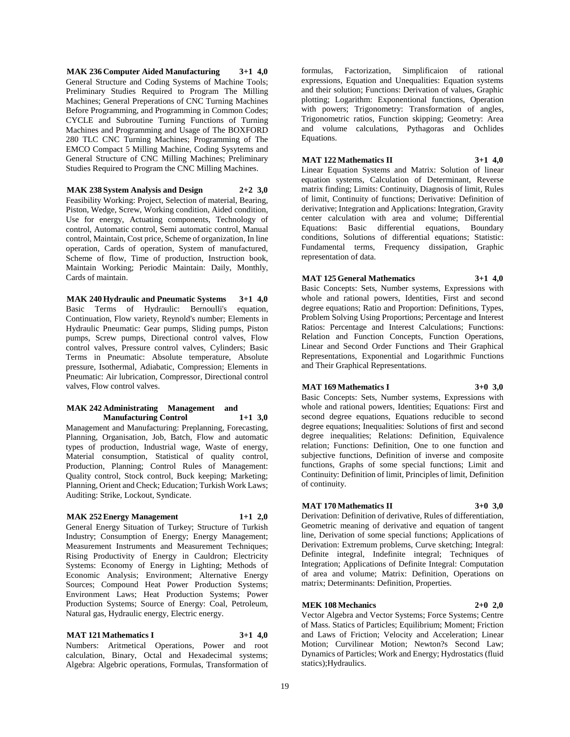**MAK 236 Computer Aided Manufacturing 3+1 4,0** General Structure and Coding Systems of Machine Tools; Preliminary Studies Required to Program The Milling Machines; General Preperations of CNC Turning Machines Before Programming, and Programming in Common Codes; CYCLE and Subroutine Turning Functions of Turning Machines and Programming and Usage of The BOXFORD 280 TLC CNC Turning Machines; Programming of The EMCO Compact 5 Milling Machine, Coding Sysytems and General Structure of CNC Milling Machines; Preliminary Studies Required to Program the CNC Milling Machines.

**MAK 238 System Analysis and Design 2+2 3,0** Feasibility Working: Project, Selection of material, Bearing, Piston, Wedge, Screw, Working condition, Aided condition, Use for energy, Actuating components, Technology of control, Automatic control, Semi automatic control, Manual control, Maintain, Cost price, Scheme of organization, In line operation, Cards of operation, System of manufactured, Scheme of flow, Time of production, Instruction book, Maintain Working; Periodic Maintain: Daily, Monthly, Cards of maintain.

**MAK 240 Hydraulic and Pneumatic Systems 3+1 4,0** Basic Terms of Hydraulic: Bernoulli's equation, Continuation, Flow variety, Reynold's number; Elements in Hydraulic Pneumatic: Gear pumps, Sliding pumps, Piston pumps, Screw pumps, Directional control valves, Flow control valves, Pressure control valves, Cylinders; Basic Terms in Pneumatic: Absolute temperature, Absolute pressure, Isothermal, Adiabatic, Compression; Elements in Pneumatic: Air lubrication, Compressor, Directional control valves, Flow control valves.

#### **MAK 242 Administrating Management and Manufacturing Control 1+1 3,0**

Management and Manufacturing: Preplanning, Forecasting, Planning, Organisation, Job, Batch, Flow and automatic types of production, Industrial wage, Waste of energy, Material consumption, Statistical of quality control, Production, Planning; Control Rules of Management: Quality control, Stock control, Buck keeping; Marketing; Planning, Orient and Check; Education; Turkish Work Laws; Auditing: Strike, Lockout, Syndicate.

#### **MAK 252 Energy Management 1+1 2,0**

General Energy Situation of Turkey; Structure of Turkish Industry; Consumption of Energy; Energy Management; Measurement Instruments and Measurement Techniques; Rising Productivity of Energy in Cauldron; Electricity Systems: Economy of Energy in Lighting; Methods of Economic Analysis; Environment; Alternative Energy Sources; Compound Heat Power Production Systems; Environment Laws; Heat Production Systems; Power Production Systems; Source of Energy: Coal, Petroleum, Natural gas, Hydraulic energy, Electric energy.

# **MAT 121 Mathematics I 3+1 4,0**

Numbers: Aritmetical Operations, Power and root calculation, Binary, Octal and Hexadecimal systems; Algebra: Algebric operations, Formulas, Transformation of

formulas, Factorization, Simplificaion of rational expressions, Equation and Unequalities: Equation systems and their solution; Functions: Derivation of values, Graphic plotting; Logarithm: Exponentional functions, Operation with powers; Trigonometry: Transformation of angles, Trigonometric ratios, Function skipping; Geometry: Area and volume calculations, Pythagoras and Ochlides Equations.

# **MAT 122 Mathematics II 3+1 4,0**

Linear Equation Systems and Matrix: Solution of linear equation systems, Calculation of Determinant, Reverse matrix finding; Limits: Continuity, Diagnosis of limit, Rules of limit, Continuity of functions; Derivative: Definition of derivative; Integration and Applications: Integration, Gravity center calculation with area and volume; Differential Equations: Basic differential equations, Boundary conditions, Solutions of differential equations; Statistic: Fundamental terms, Frequency dissipation, Graphic representation of data.

**MAT 125 General Mathematics 3+1 4,0**

Basic Concepts: Sets, Number systems, Expressions with whole and rational powers, Identities, First and second degree equations; Ratio and Proportion: Definitions, Types, Problem Solving Using Proportions; Percentage and Interest Ratios: Percentage and Interest Calculations; Functions: Relation and Function Concepts, Function Operations, Linear and Second Order Functions and Their Graphical Representations, Exponential and Logarithmic Functions and Their Graphical Representations.

## **MAT 169 Mathematics I 3+0 3,0**

Basic Concepts: Sets, Number systems, Expressions with whole and rational powers, Identities; Equations: First and second degree equations, Equations reducible to second degree equations; Inequalities: Solutions of first and second degree inequalities; Relations: Definition, Equivalence relation; Functions: Definition, One to one function and subjective functions, Definition of inverse and composite functions, Graphs of some special functions; Limit and Continuity: Definition of limit, Principles of limit, Definition of continuity.

#### **MAT 170 Mathematics II 3+0 3,0**

Derivation: Definition of derivative, Rules of differentiation, Geometric meaning of derivative and equation of tangent line, Derivation of some special functions; Applications of Derivation: Extremum problems, Curve sketching; Integral: Definite integral, Indefinite integral; Techniques of Integration; Applications of Definite Integral: Computation of area and volume; Matrix: Definition, Operations on matrix; Determinants: Definition, Properties.

# **MEK 108 Mechanics 2+0 2,0**

Vector Algebra and Vector Systems; Force Systems; Centre of Mass. Statics of Particles; Equilibrium; Moment; Friction and Laws of Friction; Velocity and Acceleration; Linear Motion; Curvilinear Motion; Newton?s Second Law; Dynamics of Particles; Work and Energy; Hydrostatics (fluid statics);Hydraulics.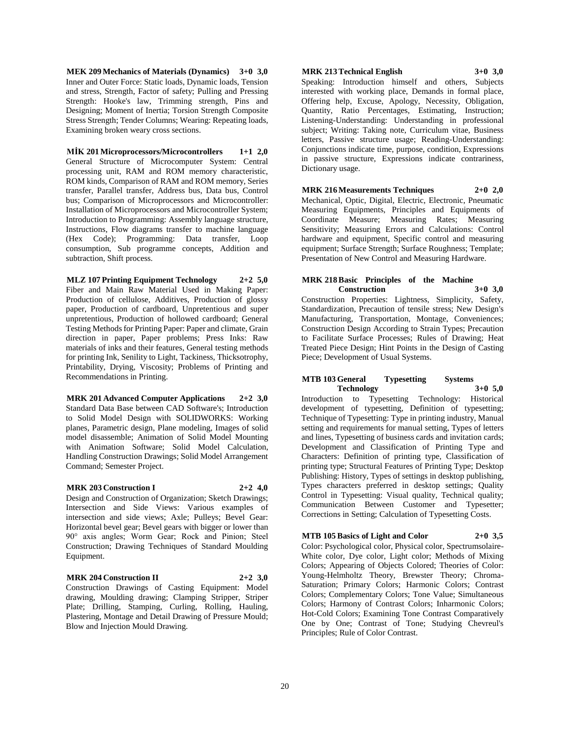**MEK 209 Mechanics of Materials (Dynamics) 3+0 3,0** Inner and Outer Force: Static loads, Dynamic loads, Tension and stress, Strength, Factor of safety; Pulling and Pressing Strength: Hooke's law, Trimming strength, Pins and Designing; Moment of Inertia; Torsion Strength Composite Stress Strength; Tender Columns; Wearing: Repeating loads, Examining broken weary cross sections.

**MİK 201 Microprocessors/Microcontrollers 1+1 2,0** General Structure of Microcomputer System: Central processing unit, RAM and ROM memory characteristic, ROM kinds, Comparison of RAM and ROM memory, Series transfer, Parallel transfer, Address bus, Data bus, Control bus; Comparison of Microprocessors and Microcontroller: Installation of Microprocessors and Microcontroller System; Introduction to Programming: Assembly language structure, Instructions, Flow diagrams transfer to machine language (Hex Code); Programming: Data transfer, Loop consumption, Sub programme concepts, Addition and subtraction, Shift process.

**MLZ 107 Printing Equipment Technology 2+2 5,0** Fiber and Main Raw Material Used in Making Paper: Production of cellulose, Additives, Production of glossy paper, Production of cardboard, Unpretentious and super unpretentious, Production of hollowed cardboard; General Testing Methods for Printing Paper: Paper and climate, Grain direction in paper, Paper problems; Press Inks: Raw materials of inks and their features, General testing methods for printing Ink, Senility to Light, Tackiness, Thicksotrophy, Printability, Drying, Viscosity; Problems of Printing and Recommendations in Printing.

**MRK 201 Advanced Computer Applications 2+2 3,0** Standard Data Base between CAD Software's; Introduction to Solid Model Design with SOLIDWORKS: Working planes, Parametric design, Plane modeling, Images of solid model disassemble; Animation of Solid Model Mounting with Animation Software; Solid Model Calculation, Handling Construction Drawings; Solid Model Arrangement Command; Semester Project.

#### **MRK 203 Construction I 2+2 4,0**

Design and Construction of Organization; Sketch Drawings; Intersection and Side Views: Various examples of intersection and side views; Axle; Pulleys; Bevel Gear: Horizontal bevel gear; Bevel gears with bigger or lower than 90° axis angles; Worm Gear; Rock and Pinion; Steel Construction; Drawing Techniques of Standard Moulding Equipment.

# **MRK 204 Construction II 2+2 3,0**

Construction Drawings of Casting Equipment: Model drawing, Moulding drawing; Clamping Stripper, Striper Plate; Drilling, Stamping, Curling, Rolling, Hauling, Plastering, Montage and Detail Drawing of Pressure Mould; Blow and Injection Mould Drawing.

# **MRK 213 Technical English 3+0 3,0**

Speaking: Introduction himself and others, Subjects interested with working place, Demands in formal place, Offering help, Excuse, Apology, Necessity, Obligation, Quantity, Ratio Percentages, Estimating, Instruction; Listening-Understanding: Understanding in professional subject; Writing: Taking note, Curriculum vitae, Business letters, Passive structure usage; Reading-Understanding: Conjunctions indicate time, purpose, condition, Expressions in passive structure, Expressions indicate contrariness, Dictionary usage.

**MRK 216 Measurements Techniques 2+0 2,0** Mechanical, Optic, Digital, Electric, Electronic, Pneumatic Measuring Equipments, Principles and Equipments of Coordinate Measure; Measuring Rates; Measuring Sensitivity; Measuring Errors and Calculations: Control hardware and equipment, Specific control and measuring equipment; Surface Strength; Surface Roughness; Template; Presentation of New Control and Measuring Hardware.

#### **MRK 218 Basic Principles of the Machine Construction 3+0 3,0**

Construction Properties: Lightness, Simplicity, Safety, Standardization, Precaution of tensile stress; New Design's Manufacturing, Transportation, Montage, Conveniences; Construction Design According to Strain Types; Precaution to Facilitate Surface Processes; Rules of Drawing; Heat Treated Piece Design; Hint Points in the Design of Casting Piece; Development of Usual Systems.

#### **MTB 103 General Typesetting Systems 103 General Technology 3+0** 5.0 **Technology 3+0 5,0**

Introduction to Typesetting Technology: Historical development of typesetting, Definition of typesetting; Technique of Typesetting: Type in printing industry, Manual setting and requirements for manual setting, Types of letters and lines, Typesetting of business cards and invitation cards; Development and Classification of Printing Type and Characters: Definition of printing type, Classification of printing type; Structural Features of Printing Type; Desktop Publishing: History, Types of settings in desktop publishing, Types characters preferred in desktop settings; Quality Control in Typesetting: Visual quality, Technical quality; Communication Between Customer and Typesetter; Corrections in Setting; Calculation of Typesetting Costs.

# **MTB 105 Basics of Light and Color 2+0 3,5**

Color: Psychological color, Physical color, Spectrumsolaire-White color, Dye color, Light color; Methods of Mixing Colors; Appearing of Objects Colored; Theories of Color: Young-Helmholtz Theory, Brewster Theory; Chroma-Saturation; Primary Colors; Harmonic Colors; Contrast Colors; Complementary Colors; Tone Value; Simultaneous Colors; Harmony of Contrast Colors; Inharmonic Colors; Hot-Cold Colors; Examining Tone Contrast Comparatively One by One; Contrast of Tone; Studying Chevreul's Principles; Rule of Color Contrast.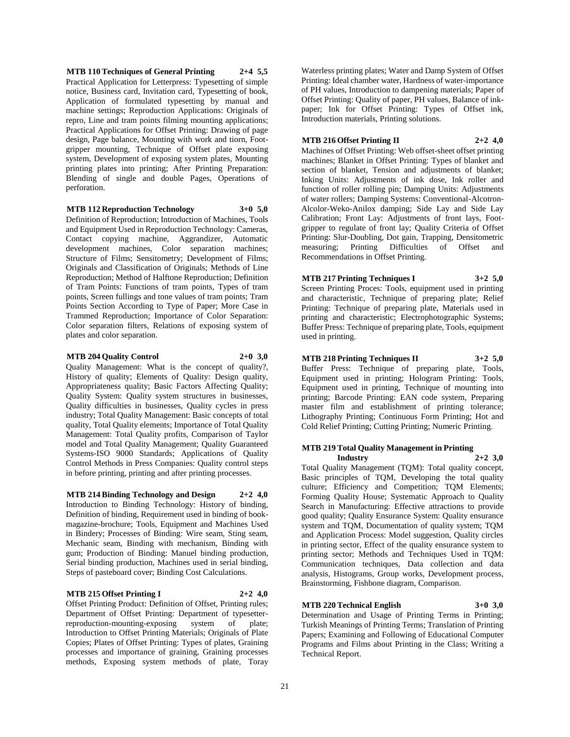**MTB 110 Techniques of General Printing 2+4 5,5** Practical Application for Letterpress: Typesetting of simple notice, Business card, Invitation card, Typesetting of book, Application of formulated typesetting by manual and machine settings; Reproduction Applications: Originals of repro, Line and tram points filming mounting applications; Practical Applications for Offset Printing: Drawing of page design, Page balance, Mounting with work and tiorn, Footgripper mounting, Technique of Offset plate exposing system, Development of exposing system plates, Mounting printing plates into printing; After Printing Preparation: Blending of single and double Pages, Operations of perforation.

#### **MTB 112 Reproduction Technology 3+0 5,0**

Definition of Reproduction; Introduction of Machines, Tools and Equipment Used in Reproduction Technology: Cameras, Contact copying machine, Aggrandizer, Automatic development machines, Color separation machines; Structure of Films; Sensitometry; Development of Films; Originals and Classification of Originals; Methods of Line Reproduction; Method of Halftone Reproduction; Definition of Tram Points: Functions of tram points, Types of tram points, Screen fullings and tone values of tram points; Tram Points Section According to Type of Paper; More Case in Trammed Reproduction; Importance of Color Separation: Color separation filters, Relations of exposing system of plates and color separation.

#### **MTB 204 Quality Control 2+0 3,0**

Quality Management: What is the concept of quality?, History of quality; Elements of Quality: Design quality, Appropriateness quality; Basic Factors Affecting Quality; Quality System: Quality system structures in businesses, Quality difficulties in businesses, Quality cycles in press industry; Total Quality Management: Basic concepts of total quality, Total Quality elements; Importance of Total Quality Management: Total Quality profits, Comparison of Taylor model and Total Quality Management; Quality Guaranteed Systems-ISO 9000 Standards; Applications of Quality Control Methods in Press Companies: Quality control steps in before printing, printing and after printing processes.

**MTB 214 Binding Technology and Design 2+2 4,0** Introduction to Binding Technology: History of binding, Definition of binding, Requirement used in binding of bookmagazine-brochure; Tools, Equipment and Machines Used in Bindery; Processes of Binding: Wire seam, Sting seam, Mechanic seam, Binding with mechanism, Binding with gum; Production of Binding: Manuel binding production, Serial binding production, Machines used in serial binding, Steps of pasteboard cover; Binding Cost Calculations.

#### **MTB 215 Offset Printing I 2+2 4,0**

Offset Printing Product: Definition of Offset, Printing rules; Department of Offset Printing: Department of typesetterreproduction-mounting-exposing system of plate; Introduction to Offset Printing Materials; Originals of Plate Copies; Plates of Offset Printing: Types of plates, Graining processes and importance of graining, Graining processes methods, Exposing system methods of plate, Toray

Waterless printing plates; Water and Damp System of Offset Printing: Ideal chamber water, Hardness of water-importance of PH values, Introduction to dampening materials; Paper of Offset Printing: Quality of paper, PH values, Balance of inkpaper; Ink for Offset Printing: Types of Offset ink, Introduction materials, Printing solutions.

#### **MTB 216 Offset Printing II 2+2 4,0**

Machines of Offset Printing: Web offset-sheet offset printing machines; Blanket in Offset Printing: Types of blanket and section of blanket, Tension and adjustments of blanket; Inking Units: Adjustments of ink dose, Ink roller and function of roller rolling pin; Damping Units: Adjustments of water rollers; Damping Systems: Conventional-Alcotron-Alcolor-Weko-Anilox damping; Side Lay and Side Lay Calibration; Front Lay: Adjustments of front lays, Footgripper to regulate of front lay; Quality Criteria of Offset Printing: Slur-Doubling, Dot gain, Trapping, Densitometric measuring; Printing Difficulties of Offset and Recommendations in Offset Printing.

**MTB 217 Printing Techniques I 3+2 5,0** Screen Printing Proces: Tools, equipment used in printing and characteristic, Technique of preparing plate; Relief Printing: Technique of preparing plate, Materials used in printing and characteristic; Electrophotographic Systems; Buffer Press: Technique of preparing plate, Tools, equipment used in printing.

# **MTB 218 Printing Techniques II 3+2 5,0**

Buffer Press: Technique of preparing plate, Tools, Equipment used in printing; Hologram Printing: Tools, Equipment used in printing, Technique of mounting into printing; Barcode Printing: EAN code system, Preparing master film and establishment of printing tolerance; Lithography Printing; Continuous Form Printing; Hot and Cold Relief Printing; Cutting Printing; Numeric Printing.

#### **MTB 219 Total Quality Management in Printing Industry 2+2 3,0**

Total Quality Management (TQM): Total quality concept, Basic principles of TQM, Developing the total quality culture; Efficiency and Competition; TQM Elements; Forming Quality House; Systematic Approach to Quality Search in Manufacturing: Effective attractions to provide good quality; Quality Ensurance System: Quality ensurance system and TQM, Documentation of quality system; TQM and Application Process: Model suggestion, Quality circles in printing sector, Effect of the quality ensurance system to printing sector; Methods and Techniques Used in TQM: Communication techniques, Data collection and data analysis, Histograms, Group works, Development process, Brainstorming, Fishbone diagram, Comparison.

# **MTB 220 Technical English 3+0 3,0**

Determination and Usage of Printing Terms in Printing; Turkish Meanings of Printing Terms; Translation of Printing Papers; Examining and Following of Educational Computer Programs and Films about Printing in the Class; Writing a Technical Report.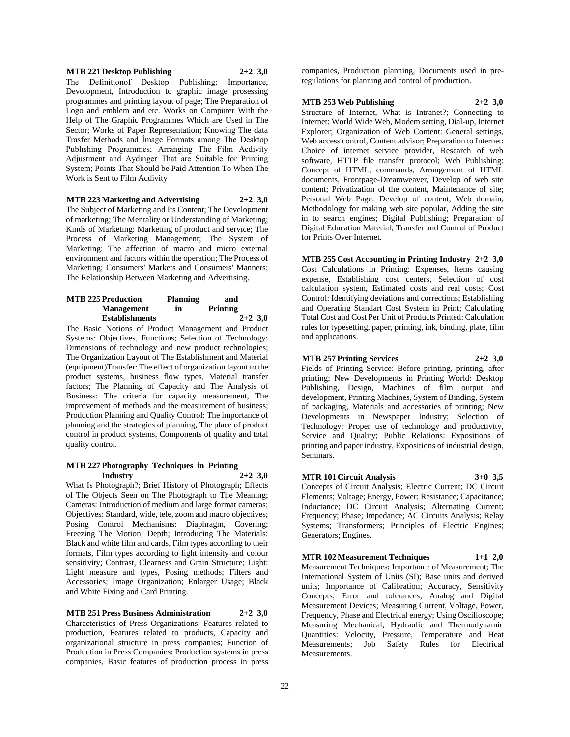#### **MTB 221 Desktop Publishing 2+2 3,0**

The Definitionof Desktop Publishing; İmportance, Devolopment, Introduction to graphic image prosessing programmes and printing layout of page; The Preparation of Logo and emblem and etc. Works on Computer With the Help of The Graphic Programmes Which are Used in The Sector; Works of Paper Representation; Knowing The data Trasfer Methods and İmage Formats among The Desktop Publıshing Programmes; Arranging The Film Acdivity Adjustment and Aydınger That are Suitable for Printing System; Points That Should be Paid Attention To When The Work is Sent to Film Acdivity

#### **MTB 223 Marketing and Advertising 2+2 3,0**

The Subject of Marketing and Its Content; The Development of marketing; The Mentality or Understanding of Marketing; Kinds of Marketing: Marketing of product and service; The Process of Marketing Management; The System of Marketing: The affection of macro and micro external environment and factors within the operation; The Process of Marketing; Consumers' Markets and Consumers' Manners; The Relationship Between Marketing and Advertising.

| <b>MTB 225 Production</b> | <b>Planning</b> | and       |
|---------------------------|-----------------|-----------|
| <b>Management</b>         | in              | Printing  |
| <b>Establishments</b>     |                 | $2+2$ 3.0 |

The Basic Notions of Product Management and Product Systems: Objectives, Functions; Selection of Technology: Dimensions of technology and new product technologies; The Organization Layout of The Establishment and Material (equipment)Transfer: The effect of organization layout to the product systems, business flow types, Material transfer factors; The Planning of Capacity and The Analysis of Business: The criteria for capacity measurement, The improvement of methods and the measurement of business; Production Planning and Quality Control: The importance of planning and the strategies of planning, The place of product control in product systems, Components of quality and total quality control.

#### **MTB 227 Photography Techniques in Printing Industry 2+2 3,0**

What Is Photograph?; Brief History of Photograph; Effects of The Objects Seen on The Photograph to The Meaning; Cameras: Introduction of medium and large format cameras; Objectives: Standard, wide, tele, zoom and macro objectives; Posing Control Mechanisms: Diaphragm, Covering; Freezing The Motion; Depth; Introducing The Materials: Black and white film and cards, Film types according to their formats, Film types according to light intensity and colour sensitivity; Contrast, Clearness and Grain Structure; Light: Light measure and types, Posing methods; Filters and Accessories; Image Organization; Enlarger Usage; Black and White Fixing and Card Printing.

**MTB 251 Press Business Administration 2+2 3,0** Characteristics of Press Organizations: Features related to production, Features related to products, Capacity and organizational structure in press companies; Function of Production in Press Companies: Production systems in press companies, Basic features of production process in press companies, Production planning, Documents used in preregulations for planning and control of production.

#### **MTB 253 Web Publishing 2+2 3,0**

Structure of Internet, What is Intranet?; Connecting to Internet: World Wide Web, Modem setting, Dial-up, Internet Explorer; Organization of Web Content: General settings, Web access control, Content advisor; Preparation to Internet: Choice of internet service provider, Research of web software, HTTP file transfer protocol; Web Publishing: Concept of HTML, commands, Arrangement of HTML documents, Frontpage-Dreamweaver, Develop of web site content; Privatization of the content, Maintenance of site; Personal Web Page: Develop of content, Web domain, Methodology for making web site popular, Adding the site in to search engines; Digital Publishing; Preparation of Digital Education Material; Transfer and Control of Product for Prints Over Internet.

**MTB 255 Cost Accounting in Printing Industry 2+2 3,0** Cost Calculations in Printing: Expenses, Items causing expense, Establishing cost centers, Selection of cost calculation system, Estimated costs and real costs; Cost Control: Identifying deviations and corrections; Establishing and Operating Standart Cost System in Print; Calculating Total Cost and Cost Per Unit of Products Printed: Calculation rules for typesetting, paper, printing, ink, binding, plate, film and applications.

#### **MTB 257 Printing Services 2+2 3,0**

Fields of Printing Service: Before printing, printing, after printing; New Developments in Printing World: Desktop Publishing, Design, Machines of film output and development, Printing Machines, System of Binding, System of packaging, Materials and accessories of printing; New Developments in Newspaper Industry; Selection of Technology: Proper use of technology and productivity, Service and Quality; Public Relations: Expositions of printing and paper industry, Expositions of industrial design, Seminars.

# **MTR 101 Circuit Analysis 3+0 3,5**

Concepts of Circuit Analysis; Electric Current; DC Circuit Elements; Voltage; Energy, Power; Resistance; Capacitance; Inductance; DC Circuit Analysis; Alternating Current; Frequency; Phase; Impedance; AC Circuits Analysis; Relay Systems; Transformers; Principles of Electric Engines; Generators; Engines.

**MTR 102 Measurement Techniques 1+1 2,0** Measurement Techniques; Importance of Measurement; The International System of Units (SI); Base units and derived units; Importance of Calibration; Accuracy, Sensitivity Concepts; Error and tolerances; Analog and Digital Measurement Devices; Measuring Current, Voltage, Power, Frequency, Phase and Electrical energy; Using Oscilloscope; Measuring Mechanical, Hydraulic and Thermodynamic Quantities: Velocity, Pressure, Temperature and Heat Measurements; Job Safety Rules for Electrical Measurements.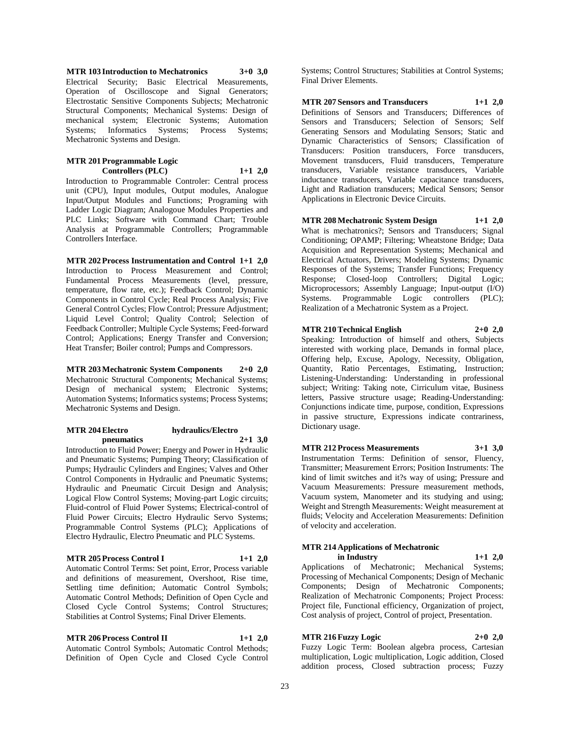**MTR 103 Introduction to Mechatronics 3+0 3,0** Electrical Security; Basic Electrical Measurements, Operation of Oscilloscope and Signal Generators; Electrostatic Sensitive Components Subjects; Mechatronic Structural Components; Mechanical Systems: Design of mechanical system; Electronic Systems; Automation Systems; Informatics Systems; Process Systems; Mechatronic Systems and Design.

#### **MTR 201 Programmable Logic Controllers (PLC) 1+1 2,0**

Introduction to Programmable Controler: Central process unit (CPU), Input modules, Output modules, Analogue Input/Output Modules and Functions; Programing with Ladder Logic Diagram; Analogoue Modules Properties and PLC Links; Software with Command Chart; Trouble Analysis at Programmable Controllers; Programmable Controllers Interface.

**MTR 202 Process Instrumentation and Control 1+1 2,0** Introduction to Process Measurement and Control; Fundamental Process Measurements (level, pressure, temperature, flow rate, etc.); Feedback Control; Dynamic Components in Control Cycle; Real Process Analysis; Five General Control Cycles; Flow Control; Pressure Adjustment; Liquid Level Control; Quality Control; Selection of Feedback Controller; Multiple Cycle Systems; Feed-forward Control; Applications; Energy Transfer and Conversion; Heat Transfer; Boiler control; Pumps and Compressors.

**MTR 203 Mechatronic System Components 2+0 2,0** Mechatronic Structural Components; Mechanical Systems; Design of mechanical system; Electronic Systems; Automation Systems; Informatics systems; Process Systems; Mechatronic Systems and Design.

#### **MTR 204 Electro hydraulics/Electro pneumatics 2+1 3,0**

Introduction to Fluid Power; Energy and Power in Hydraulic and Pneumatic Systems; Pumping Theory; Classification of Pumps; Hydraulic Cylinders and Engines; Valves and Other Control Components in Hydraulic and Pneumatic Systems; Hydraulic and Pneumatic Circuit Design and Analysis; Logical Flow Control Systems; Moving-part Logic circuits; Fluid-control of Fluid Power Systems; Electrical-control of Fluid Power Circuits; Electro Hydraulic Servo Systems; Programmable Control Systems (PLC); Applications of Electro Hydraulic, Electro Pneumatic and PLC Systems.

#### **MTR 205 Process Control I 1+1 2,0**

Automatic Control Terms: Set point, Error, Process variable and definitions of measurement, Overshoot, Rise time, Settling time definition; Automatic Control Symbols; Automatic Control Methods; Definition of Open Cycle and Closed Cycle Control Systems; Control Structures; Stabilities at Control Systems; Final Driver Elements.

**MTR 206 Process Control II 1+1 2,0** Automatic Control Symbols; Automatic Control Methods; Definition of Open Cycle and Closed Cycle Control

Systems; Control Structures; Stabilities at Control Systems; Final Driver Elements.

**MTR 207 Sensors and Transducers 1+1 2,0** Definitions of Sensors and Transducers; Differences of Sensors and Transducers; Selection of Sensors; Self Generating Sensors and Modulating Sensors; Static and Dynamic Characteristics of Sensors; Classification of Transducers: Position transducers, Force transducers, Movement transducers, Fluid transducers, Temperature transducers, Variable resistance transducers, Variable inductance transducers, Variable capacitance transducers, Light and Radiation transducers; Medical Sensors; Sensor Applications in Electronic Device Circuits.

**MTR 208 Mechatronic System Design 1+1 2,0** What is mechatronics?; Sensors and Transducers; Signal Conditioning; OPAMP; Filtering; Wheatstone Bridge; Data Acquisition and Representation Systems; Mechanical and Electrical Actuators, Drivers; Modeling Systems; Dynamic Responses of the Systems; Transfer Functions; Frequency Response; Closed-loop Controllers; Digital Logic; Microprocessors; Assembly Language; Input-output (I/O) Systems. Programmable Logic controllers (PLC); Realization of a Mechatronic System as a Project.

### **MTR 210 Technical English 2+0 2,0**

Speaking: Introduction of himself and others, Subjects interested with working place, Demands in formal place, Offering help, Excuse, Apology, Necessity, Obligation, Quantity, Ratio Percentages, Estimating, Instruction; Listening-Understanding: Understanding in professional subject; Writing: Taking note, Cirriculum vitae, Business letters, Passive structure usage; Reading-Understanding: Conjunctions indicate time, purpose, condition, Expressions in passive structure, Expressions indicate contrariness, Dictionary usage.

**MTR 212 Process Measurements 3+1 3,0** Instrumentation Terms: Definition of sensor, Fluency, Transmitter; Measurement Errors; Position Instruments: The kind of limit switches and it?s way of using; Pressure and Vacuum Measurements: Pressure measurement methods, Vacuum system, Manometer and its studying and using; Weight and Strength Measurements: Weight measurement at fluids; Velocity and Acceleration Measurements: Definition of velocity and acceleration.

#### **MTR 214 Applications of Mechatronic in Industry 1+1 2,0**

Applications of Mechatronic; Mechanical Systems; Processing of Mechanical Components; Design of Mechanic Components; Design of Mechatronic Components; Realization of Mechatronic Components; Project Process: Project file, Functional efficiency, Organization of project, Cost analysis of project, Control of project, Presentation.

#### **MTR 216 Fuzzy Logic 2+0 2,0**

Fuzzy Logic Term: Boolean algebra process, Cartesian multiplication, Logic multiplication, Logic addition, Closed addition process, Closed subtraction process; Fuzzy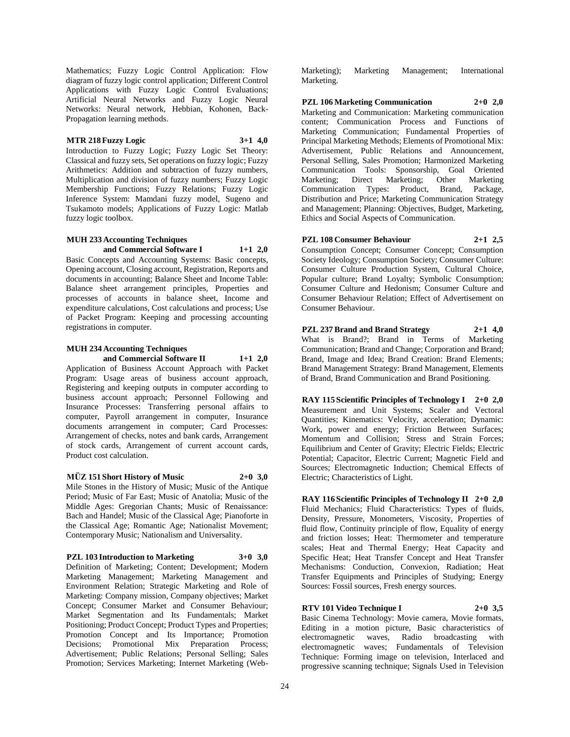Mathematics; Fuzzy Logic Control Application: Flow diagram of fuzzy logic control application; Different Control Applications with Fuzzy Logic Control Evaluations; Artificial Neural Networks and Fuzzy Logic Neural Networks: Neural network, Hebbian, Kohonen, Back-Propagation learning methods.

## **MTR 218 Fuzzy Logic 3+1 4,0**

Introduction to Fuzzy Logic; Fuzzy Logic Set Theory: Classical and fuzzy sets, Set operations on fuzzy logic; Fuzzy Arithmetics: Addition and subtraction of fuzzy numbers, Multiplication and division of fuzzy numbers; Fuzzy Logic Membership Functions; Fuzzy Relations; Fuzzy Logic Inference System: Mamdani fuzzy model, Sugeno and Tsukamoto models; Applications of Fuzzy Logic: Matlab fuzzy logic toolbox.

#### **MUH 233 Accounting Techniques and Commercial Software I 1+1 2,0**

Basic Concepts and Accounting Systems: Basic concepts, Opening account, Closing account, Registration, Reports and documents in accounting; Balance Sheet and Income Table: Balance sheet arrangement principles, Properties and processes of accounts in balance sheet, Income and expenditure calculations, Cost calculations and process; Use of Packet Program: Keeping and processing accounting registrations in computer.

# **MUH 234 Accounting Techniques**

**and Commercial Software II 1+1 2,0** Application of Business Account Approach with Packet Program: Usage areas of business account approach, Registering and keeping outputs in computer according to business account approach; Personnel Following and Insurance Processes: Transferring personal affairs to computer, Payroll arrangement in computer, Insurance documents arrangement in computer; Card Processes: Arrangement of checks, notes and bank cards, Arrangement of stock cards, Arrangement of current account cards, Product cost calculation.

# **MÜZ 151 Short History of Music 2+0 3,0**

Mile Stones in the History of Music; Music of the Antique Period; Music of Far East; Music of Anatolia; Music of the Middle Ages: Gregorian Chants; Music of Renaissance: Bach and Handel; Music of the Classical Age; Pianoforte in the Classical Age; Romantic Age; Nationalist Movement; Contemporary Music; Nationalism and Universality.

# **PZL 103 Introduction to Marketing 3+0 3,0**

Definition of Marketing; Content; Development; Modern Marketing Management; Marketing Management and Environment Relation; Strategic Marketing and Role of Marketing: Company mission, Company objectives; Market Concept; Consumer Market and Consumer Behaviour; Market Segmentation and Its Fundamentals; Market Positioning; Product Concept; Product Types and Properties; Promotion Concept and Its Importance; Promotion Decisions; Promotional Mix Preparation Process; Advertisement; Public Relations; Personal Selling; Sales Promotion; Services Marketing; Internet Marketing (Web-

Marketing); Marketing Management; International Marketing.

**PZL 106 Marketing Communication 2+0 2,0** Marketing and Communication: Marketing communication content; Communication Process and Functions of Marketing Communication; Fundamental Properties of Principal Marketing Methods; Elements of Promotional Mix: Advertisement, Public Relations and Announcement, Personal Selling, Sales Promotion; Harmonized Marketing Communication Tools: Sponsorship, Goal Oriented Marketing; Direct Marketing; Other Marketing Communication Types: Product, Brand, Package, Distribution and Price; Marketing Communication Strategy and Management; Planning: Objectives, Budget, Marketing, Ethics and Social Aspects of Communication.

# **PZL 108 Consumer Behaviour 2+1 2,5**

Consumption Concept; Consumer Concept; Consumption Society Ideology; Consumption Society; Consumer Culture: Consumer Culture Production System, Cultural Choice, Popular culture; Brand Loyalty; Symbolic Consumption; Consumer Culture and Hedonism; Consumer Culture and Consumer Behaviour Relation; Effect of Advertisement on Consumer Behaviour.

**PZL 237 Brand and Brand Strategy 2+1 4,0** What is Brand?; Brand in Terms of Marketing Communication; Brand and Change; Corporation and Brand; Brand, Image and Idea; Brand Creation: Brand Elements; Brand Management Strategy: Brand Management, Elements of Brand, Brand Communication and Brand Positioning.

**RAY 115 Scientific Principles of Technology I 2+0 2,0** Measurement and Unit Systems; Scaler and Vectoral Quantities; Kinematics: Velocity, acceleration; Dynamic: Work, power and energy; Friction Between Surfaces; Momentum and Collision; Stress and Strain Forces; Equilibrium and Center of Gravity; Electric Fields; Electric Potential; Capacitor, Electric Current; Magnetic Field and Sources; Electromagnetic Induction; Chemical Effects of Electric; Characteristics of Light.

**RAY 116 Scientific Principles of Technology II 2+0 2,0** Fluid Mechanics; Fluid Characteristics: Types of fluids, Density, Pressure, Monometers, Viscosity, Properties of fluid flow, Continuity principle of flow, Equality of energy and friction losses; Heat: Thermometer and temperature scales; Heat and Thermal Energy; Heat Capacity and Specific Heat; Heat Transfer Concept and Heat Transfer Mechanisms: Conduction, Convexion, Radiation; Heat Transfer Equipments and Principles of Studying; Energy Sources: Fossil sources, Fresh energy sources.

# **RTV 101 Video Technique I 2+0 3,5**

Basic Cinema Technology: Movie camera, Movie formats, Editing in a motion picture, Basic characteristics of electromagnetic waves, Radio broadcasting with electromagnetic waves; Fundamentals of Television Technique: Forming image on television, Interlaced and progressive scanning technique; Signals Used in Television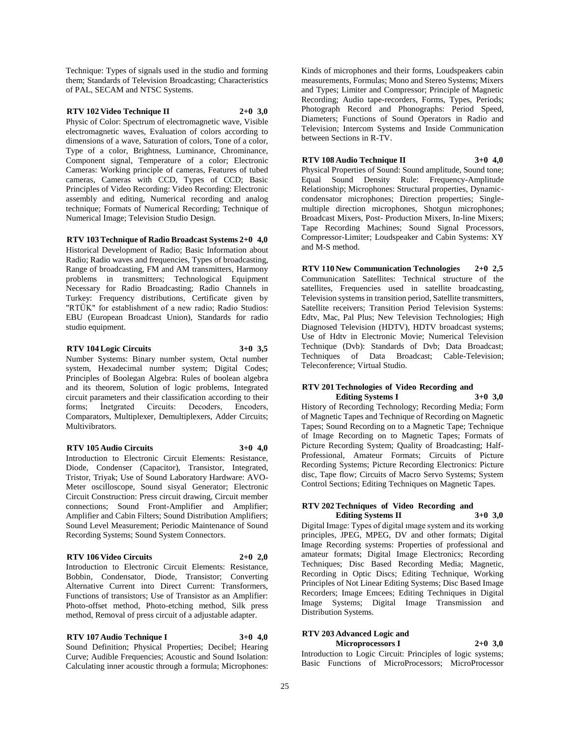Technique: Types of signals used in the studio and forming them; Standards of Television Broadcasting; Characteristics of PAL, SECAM and NTSC Systems.

#### **RTV 102 Video Technique II 2+0 3,0**

Physic of Color: Spectrum of electromagnetic wave, Visible electromagnetic waves, Evaluation of colors according to dimensions of a wave, Saturation of colors, Tone of a color, Type of a color, Brightness, Luminance, Chrominance, Component signal, Temperature of a color; Electronic Cameras: Working principle of cameras, Features of tubed cameras, Cameras with CCD, Types of CCD; Basic Principles of Video Recording: Video Recording: Electronic assembly and editing, Numerical recording and analog technique; Formats of Numerical Recording; Technique of Numerical Image; Television Studio Design.

#### **RTV 103 Technique of Radio Broadcast Systems 2+0 4,0**

Historical Development of Radio; Basic Information about Radio; Radio waves and frequencies, Types of broadcasting, Range of broadcasting, FM and AM transmitters, Harmony problems in transmitters; Technological Equipment Necessary for Radio Broadcasting; Radio Channels in Turkey: Frequency distributions, Certificate given by "RTÜK" for establishment of a new radio; Radio Studios: EBU (European Broadcast Union), Standards for radio studio equipment.

#### **RTV 104 Logic Circuits 3+0 3,5**

Number Systems: Binary number system, Octal number system, Hexadecimal number system; Digital Codes; Principles of Boolegan Algebra: Rules of boolean algebra and its theorem, Solution of logic problems, Integrated circuit parameters and their classification according to their forms; İnetgrated Circuits: Decoders, Encoders, Comparators, Multiplexer, Demultiplexers, Adder Circuits; Multivibrators.

#### **RTV 105 Audio Circuits 3+0 4,0**

Introduction to Electronic Circuit Elements: Resistance, Diode, Condenser (Capacitor), Transistor, Integrated, Tristor, Triyak; Use of Sound Laboratory Hardware: AVO-Meter oscilloscope, Sound sisyal Generator; Electronic Circuit Construction: Press circuit drawing, Circuit member connections; Sound Front-Amplifier and Amplifier; Amplifier and Cabin Filters; Sound Distribution Amplifiers; Sound Level Measurement; Periodic Maintenance of Sound Recording Systems; Sound System Connectors.

### **RTV 106 Video Circuits 2+0 2,0**

Introduction to Electronic Circuit Elements: Resistance, Bobbin, Condensator, Diode, Transistor; Converting Alternative Current into Direct Current: Transformers, Functions of transistors; Use of Transistor as an Amplifier: Photo-offset method, Photo-etching method, Silk press method, Removal of press circuit of a adjustable adapter.

# **RTV 107 Audio Technique I 3+0 4,0**

Sound Definition; Physical Properties; Decibel; Hearing Curve; Audible Frequencies; Acoustic and Sound Isolation: Calculating inner acoustic through a formula; Microphones:

Kinds of microphones and their forms, Loudspeakers cabin measurements, Formulas; Mono and Stereo Systems; Mixers and Types; Limiter and Compressor; Principle of Magnetic Recording; Audio tape-recorders, Forms, Types, Periods; Photograph Record and Phonographs: Period Speed, Diameters; Functions of Sound Operators in Radio and Television; Intercom Systems and Inside Communication between Sections in R-TV.

# **RTV 108 Audio Technique II 3+0 4,0**

Physical Properties of Sound: Sound amplitude, Sound tone; Equal Sound Density Rule: Frequency-Amplitude Relationship; Microphones: Structural properties, Dynamiccondensator microphones; Direction properties; Singlemultiple direction microphones, Shotgun microphones; Broadcast Mixers, Post- Production Mixers, In-line Mixers; Tape Recording Machines; Sound Signal Processors, Compressor-Limiter; Loudspeaker and Cabin Systems: XY and M-S method.

**RTV 110 New Communication Technologies 2+0 2,5** Communication Satellites: Technical structure of the satellites, Frequencies used in satellite broadcasting, Television systems in transition period, Satellite transmitters, Satellite receivers; Transition Period Television Systems: Edtv, Mac, Pal Plus; New Television Technologies; High Diagnosed Television (HDTV), HDTV broadcast systems; Use of Hdtv in Electronic Movie; Numerical Television Technique (Dvb): Standards of Dvb; Data Broadcast; Techniques of Data Broadcast; Cable-Television; Teleconference; Virtual Studio.

#### **RTV 201 Technologies of Video Recording and Editing Systems I 3+0 3,0**

History of Recording Technology; Recording Media; Form of Magnetic Tapes and Technique of Recording on Magnetic Tapes; Sound Recording on to a Magnetic Tape; Technique of Image Recording on to Magnetic Tapes; Formats of Picture Recording System; Quality of Broadcasting; Half-Professional, Amateur Formats; Circuits of Picture Recording Systems; Picture Recording Electronics: Picture disc, Tape flow; Circuits of Macro Servo Systems; System Control Sections; Editing Techniques on Magnetic Tapes.

#### **RTV 202 Techniques of Video Recording and Editing Systems II 3+0 3,0**

Digital Image: Types of digital ımage system and its working principles, JPEG, MPEG, DV and other formats; Digital Image Recording systems: Properties of professional and amateur formats; Digital Image Electronics; Recording Techniques; Disc Based Recording Media; Magnetic, Recording in Optic Discs; Editing Technique, Working Principles of Not Linear Editing Systems; Disc Based Image Recorders; Image Emcees; Editing Techniques in Digital Image Systems; Digital Image Transmission and Distribution Systems.

# **RTV 203 Advanced Logic and**

#### **Microprocessors I 2+0 3,0**

Introduction to Logic Circuit: Principles of logic systems; Basic Functions of MicroProcessors; MicroProcessor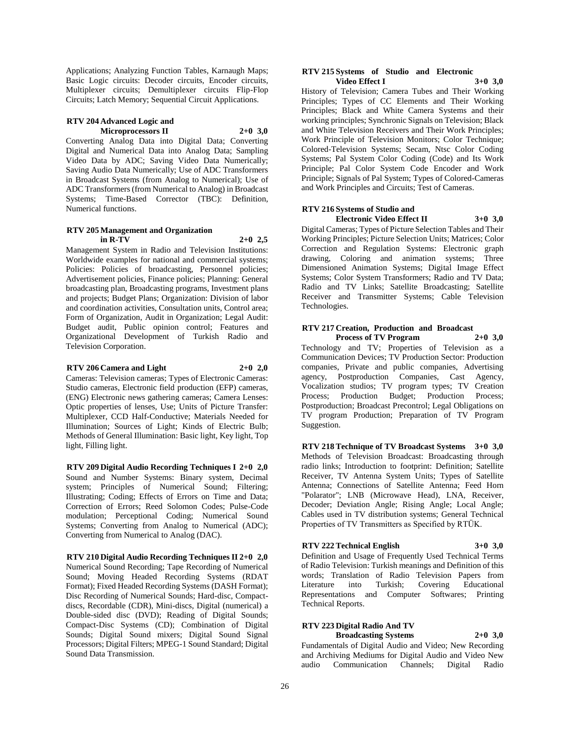Applications; Analyzing Function Tables, Karnaugh Maps; Basic Logic circuits: Decoder circuits, Encoder circuits, Multiplexer circuits; Demultiplexer circuits Flip-Flop Circuits; Latch Memory; Sequential Circuit Applications.

#### **RTV 204 Advanced Logic and Microprocessors II 2+0 3,0**

Converting Analog Data into Digital Data; Converting Digital and Numerical Data into Analog Data; Sampling Video Data by ADC; Saving Video Data Numerically; Saving Audio Data Numerically; Use of ADC Transformers in Broadcast Systems (from Analog to Numerical); Use of ADC Transformers (from Numerical to Analog) in Broadcast Systems; Time-Based Corrector (TBC): Definition, Numerical functions.

### **RTV 205 Management and Organization in R-TV 2+0 2,5**

Management System in Radio and Television Institutions: Worldwide examples for national and commercial systems; Policies: Policies of broadcasting, Personnel policies; Advertisement policies, Finance policies; Planning: General broadcasting plan, Broadcasting programs, Investment plans and projects; Budget Plans; Organization: Division of labor and coordination activities, Consultation units, Control area; Form of Organization, Audit in Organization; Legal Audit: Budget audit, Public opinion control; Features and Organizational Development of Turkish Radio and Television Corporation.

#### **RTV 206 Camera and Light 2+0 2,0**

Cameras: Television cameras; Types of Electronic Cameras: Studio cameras, Electronic field production (EFP) cameras, (ENG) Electronic news gathering cameras; Camera Lenses: Optic properties of lenses, Use; Units of Picture Transfer: Multiplexer, CCD Half-Conductive; Materials Needed for Illumination; Sources of Light; Kinds of Electric Bulb; Methods of General Illumination: Basic light, Key light, Top light, Filling light.

**RTV 209 Digital Audio Recording Techniques I 2+0 2,0** Sound and Number Systems: Binary system, Decimal system; Principles of Numerical Sound; Filtering; Illustrating; Coding; Effects of Errors on Time and Data; Correction of Errors; Reed Solomon Codes; Pulse-Code modulation; Perceptional Coding; Numerical Sound Systems; Converting from Analog to Numerical (ADC); Converting from Numerical to Analog (DAC).

**RTV 210 Digital Audio Recording Techniques II 2+0 2,0** Numerical Sound Recording; Tape Recording of Numerical Sound; Moving Headed Recording Systems (RDAT Format); Fixed Headed Recording Systems (DASH Format); Disc Recording of Numerical Sounds; Hard-disc, Compactdiscs, Recordable (CDR), Mini-discs, Digital (numerical) a Double-sided disc (DVD); Reading of Digital Sounds; Compact-Disc Systems (CD); Combination of Digital Sounds; Digital Sound mixers; Digital Sound Signal Processors; Digital Filters; MPEG-1 Sound Standard; Digital Sound Data Transmission.

#### **RTV 215 Systems of Studio and Electronic Video Effect I 3+0 3,0**

History of Television; Camera Tubes and Their Working Principles; Types of CC Elements and Their Working Principles; Black and White Camera Systems and their working principles; Synchronic Signals on Television; Black and White Television Receivers and Their Work Principles; Work Principle of Television Monitors; Color Technique; Colored-Television Systems; Secam, Ntsc Color Coding Systems; Pal System Color Coding (Code) and Its Work Principle; Pal Color System Code Encoder and Work Principle; Signals of Pal System; Types of Colored-Cameras and Work Principles and Circuits; Test of Cameras.

#### **RTV 216 Systems of Studio and Electronic Video Effect II 3+0 3,0**

Digital Cameras; Types of Picture Selection Tables and Their Working Principles; Picture Selection Units; Matrices; Color Correction and Regulation Systems: Electronic graph drawing, Coloring and animation systems; Three Dimensioned Animation Systems; Digital Image Effect Systems; Color System Transformers; Radio and TV Data; Radio and TV Links; Satellite Broadcasting; Satellite Receiver and Transmitter Systems; Cable Television Technologies.

#### **RTV 217 Creation, Production and Broadcast Process of TV Program 2+0 3,0**

Technology and TV; Properties of Television as a Communication Devices; TV Production Sector: Production companies, Private and public companies, Advertising agency, Postproduction Companies, Cast Agency, Vocalization studios; TV program types; TV Creation Process; Production Budget; Production Process; Postproduction; Broadcast Precontrol; Legal Obligations on TV program Production; Preparation of TV Program Suggestion.

**RTV 218 Technique of TV Broadcast Systems 3+0 3,0** Methods of Television Broadcast: Broadcasting through radio links; Introduction to footprint: Definition; Satellite Receiver, TV Antenna System Units; Types of Satellite Antenna; Connections of Satellite Antenna; Feed Horn "Polarator"; LNB (Microwave Head), LNA, Receiver, Decoder; Deviation Angle; Rising Angle; Local Angle; Cables used in TV distribution systems; General Technical Properties of TV Transmitters as Specified by RTÜK.

# **RTV 222 Technical English 3+0 3,0**

Definition and Usage of Frequently Used Technical Terms of Radio Television: Turkish meanings and Definition of this words; Translation of Radio Television Papers from Literature into Turkish; Covering Educational Representations and Computer Softwares; Printing Technical Reports.

# **RTV 223 Digital Radio And TV Broadcasting Systems 2+0 3,0**

Fundamentals of Digital Audio and Video; New Recording and Archiving Mediums for Digital Audio and Video New audio Communication Channels; Digital Radio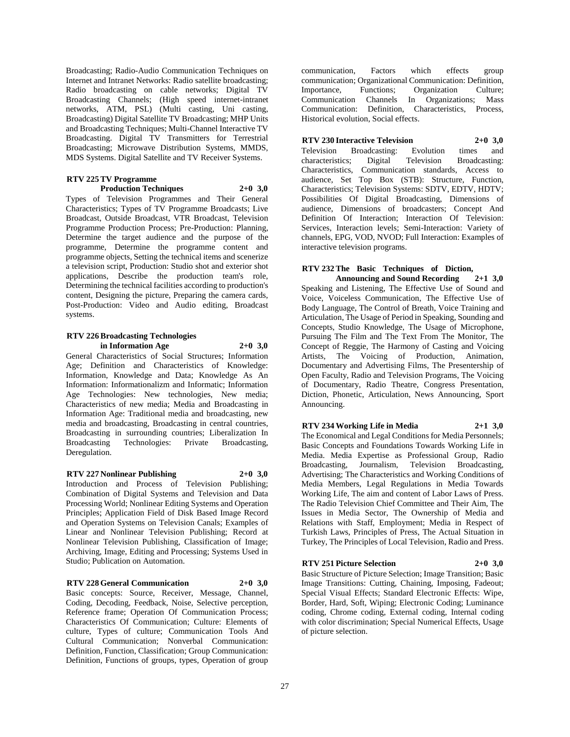Broadcasting; Radio-Audio Communication Techniques on Internet and Intranet Networks: Radio satellite broadcasting; Radio broadcasting on cable networks; Digital TV Broadcasting Channels; (High speed internet-intranet networks, ATM, PSL) (Multi casting, Uni casting, Broadcasting) Digital Satellite TV Broadcasting; MHP Units and Broadcasting Techniques; Multi-Channel Interactive TV Broadcasting. Digital TV Transmitters for Terrestrial Broadcasting; Microwave Distribution Systems, MMDS, MDS Systems. Digital Satellite and TV Receiver Systems.

# **RTV 225 TV Programme**

# **Production Techniques 2+0 3,0**

Types of Television Programmes and Their General Characteristics; Types of TV Programme Broadcasts; Live Broadcast, Outside Broadcast, VTR Broadcast, Television Programme Production Process; Pre-Production: Planning, Determine the target audience and the purpose of the programme, Determine the programme content and programme objects, Setting the technical items and scenerize a television script, Production: Studio shot and exterior shot applications, Describe the production team's role, Determining the technical facilities according to production's content, Designing the picture, Preparing the camera cards, Post-Production: Video and Audio editing, Broadcast systems.

#### **RTV 226 Broadcasting Technologies in Information Age 2+0 3,0**

General Characteristics of Social Structures; Information Age; Definition and Characteristics of Knowledge: Information, Knowledge and Data; Knowledge As An Information: Informationalizm and Informatic; Information Age Technologies: New technologies, New media; Characteristics of new media; Media and Broadcasting in Information Age: Traditional media and broadcasting, new media and broadcasting, Broadcasting in central countries, Broadcasting in surrounding countries; Liberalization In Broadcasting Technologies: Private Broadcasting, Deregulation.

# **RTV 227 Nonlinear Publishing 2+0 3,0**

Introduction and Process of Television Publishing; Combination of Digital Systems and Television and Data Processing World; Nonlinear Editing Systems and Operation Principles; Application Field of Disk Based Image Record and Operation Systems on Television Canals; Examples of Linear and Nonlinear Television Publishing; Record at Nonlinear Television Publishing, Classification of Image; Archiving, Image, Editing and Processing; Systems Used in Studio; Publication on Automation.

# **RTV 228 General Communication 2+0 3,0**

Basic concepts: Source, Receiver, Message, Channel, Coding, Decoding, Feedback, Noise, Selective perception, Reference frame; Operation Of Communication Process; Characteristics Of Communication; Culture: Elements of culture, Types of culture; Communication Tools And Cultural Communication; Nonverbal Communication: Definition, Function, Classification; Group Communication: Definition, Functions of groups, types, Operation of group

communication, Factors which effects group communication; Organizational Communication: Definition, Importance, Functions; Organization Culture; Communication Channels In Organizations; Mass Communication: Definition, Characteristics, Process, Historical evolution, Social effects.

# **RTV 230 Interactive Television 2+0 3,0**

Television Broadcasting: Evolution times and characteristics; Digital Television Broadcasting: Characteristics, Communication standards, Access to audience, Set Top Box (STB): Structure, Function, Characteristics; Television Systems: SDTV, EDTV, HDTV; Possibilities Of Digital Broadcasting, Dimensions of audience, Dimensions of broadcasters; Concept And Definition Of Interaction; Interaction Of Television: Services, Interaction levels; Semi-Interaction: Variety of channels, EPG, VOD, NVOD; Full Interaction: Examples of interactive television programs.

# **RTV 232 The Basic Techniques of Diction,**

**Announcing and Sound Recording 2+1 3,0** Speaking and Listening, The Effective Use of Sound and Voice, Voiceless Communication, The Effective Use of Body Language, The Control of Breath, Voice Training and Articulation, The Usage of Period in Speaking, Sounding and Concepts, Studio Knowledge, The Usage of Microphone, Pursuing The Film and The Text From The Monitor, The Concept of Reggie, The Harmony of Casting and Voicing Artists, The Voicing of Production, Animation, Documentary and Advertising Films, The Presentership of Open Faculty, Radio and Television Programs, The Voicing of Documentary, Radio Theatre, Congress Presentation, Diction, Phonetic, Articulation, News Announcing, Sport Announcing.

# **RTV 234 Working Life in Media 2+1 3,0**

The Economical and Legal Conditions for Media Personnels; Basic Concepts and Foundations Towards Working Life in Media. Media Expertise as Professional Group, Radio Broadcasting, Journalism, Television Broadcasting, Advertising; The Characteristics and Working Conditions of Media Members, Legal Regulations in Media Towards Working Life, The aim and content of Labor Laws of Press. The Radio Television Chief Committee and Their Aim, The Issues in Media Sector, The Ownership of Media and Relations with Staff, Employment; Media in Respect of Turkish Laws, Principles of Press, The Actual Situation in Turkey, The Principles of Local Television, Radio and Press.

# **RTV 251 Picture Selection 2+0 3,0**

Basic Structure of Picture Selection; Image Transition; Basic Image Transitions: Cutting, Chaining, Imposing, Fadeout; Special Visual Effects; Standard Electronic Effects: Wipe, Border, Hard, Soft, Wiping; Electronic Coding; Luminance coding, Chrome coding, External coding, Internal coding with color discrimination; Special Numerical Effects, Usage of picture selection.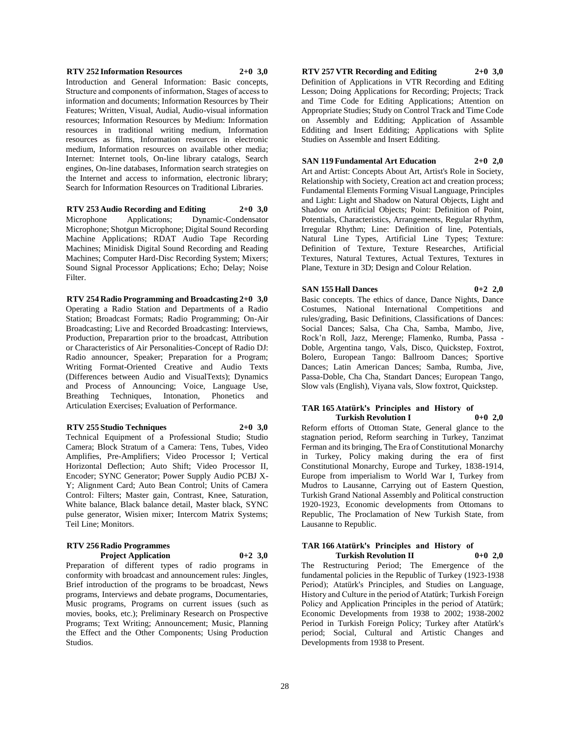#### **RTV 252 Information Resources 2+0 3,0**

Introduction and General Information: Basic concepts, Structure and components of informatıon, Stages of access to information and documents; Information Resources by Their Features; Written, Visual, Audial, Audio-visual information resources; Information Resources by Medium: Information resources in traditional writing medium, Information resources as films, Information resources in electronic medium, Information resources on available other media; Internet: Internet tools, On-line library catalogs, Search engines, On-line databases, Information search strategies on the Internet and access to information, electronic library; Search for Information Resources on Traditional Libraries.

**RTV 253 Audio Recording and Editing 2+0 3,0** Microphone Applications; Dynamic-Condensator Microphone; Shotgun Microphone; Digital Sound Recording Machine Applications; RDAT Audio Tape Recording Machines; Minidisk Digital Sound Recording and Reading Machines; Computer Hard-Disc Recording System; Mixers; Sound Signal Processor Applications; Echo; Delay; Noise Filter.

**RTV 254 Radio Programming and Broadcasting 2+0 3,0** Operating a Radio Station and Departments of a Radio Station; Broadcast Formats; Radio Programming; On-Air Broadcasting; Live and Recorded Broadcasting: Interviews, Production, Preparartion prior to the broadcast, Attribution or Characteristics of Air Personalities-Concept of Radio DJ: Radio announcer, Speaker; Preparation for a Program; Writing Format-Oriented Creative and Audio Texts (Differences between Audio and VisualTexts); Dynamics and Process of Announcing; Voice, Language Use, Breathing Techniques, Intonation, Phonetics and Articulation Exercises; Evaluation of Performance.

#### **RTV 255 Studio Techniques 2+0 3,0**

Technical Equipment of a Professional Studio; Studio Camera; Block Stratum of a Camera: Tens, Tubes, Video Amplifies, Pre-Amplifiers; Video Processor I; Vertical Horizontal Deflection; Auto Shift; Video Processor II, Encoder; SYNC Generator; Power Supply Audio PCBJ X-Y; Alignment Card; Auto Bean Control; Units of Camera Control: Filters; Master gain, Contrast, Knee, Saturation, White balance, Black balance detail, Master black, SYNC pulse generator, Wisien mixer; Intercom Matrix Systems; Teil Line; Monitors.

#### **RTV 256 Radio Programmes Project Application 0+2 3,0**

Preparation of different types of radio programs in conformity with broadcast and announcement rules: Jingles, Brief introduction of the programs to be broadcast, News programs, Interviews and debate programs, Documentaries, Music programs, Programs on current issues (such as movies, books, etc.); Preliminary Research on Prospective Programs; Text Writing; Announcement; Music, Planning the Effect and the Other Components; Using Production Studios.

# **RTV 257 VTR Recording and Editing 2+0 3,0**

Definition of Applications in VTR Recording and Editing Lesson; Doing Applications for Recording; Projects; Track and Time Code for Editing Applications; Attention on Appropriate Studies; Study on Control Track and Time Code on Assembly and Edditing; Application of Assamble Edditing and Insert Edditing; Applications with Splite Studies on Assemble and Insert Edditing.

#### **SAN 119 Fundamental Art Education 2+0 2,0**

Art and Artist: Concepts About Art, Artist's Role in Society, Relationship with Society, Creation act and creation process; Fundamental Elements Forming Visual Language, Principles and Light: Light and Shadow on Natural Objects, Light and Shadow on Artificial Objects; Point: Definition of Point, Potentials, Characteristics, Arrangements, Regular Rhythm, Irregular Rhythm; Line: Definition of line, Potentials, Natural Line Types, Artificial Line Types; Texture: Definition of Texture, Texture Researches, Artificial Textures, Natural Textures, Actual Textures, Textures in Plane, Texture in 3D; Design and Colour Relation.

#### **SAN 155 Hall Dances 0+2 2,0**

Basic concepts. The ethics of dance, Dance Nights, Dance Costumes, National International Competitions and rules/grading, Basic Definitions, Classifications of Dances: Social Dances; Salsa, Cha Cha, Samba, Mambo, Jive, Rock'n Roll, Jazz, Merenge; Flamenko, Rumba, Passa - Doble, Argentina tango, Vals, Disco, Quickstep, Foxtrot, Bolero, European Tango: Ballroom Dances; Sportive Dances; Latin American Dances; Samba, Rumba, Jive, Passa-Doble, Cha Cha, Standart Dances; European Tango, Slow vals (English), Viyana vals, Slow foxtrot, Quickstep.

#### **TAR 165 Atatürk's Principles and History of Turkish Revolution I 0+0 2,0**

Reform efforts of Ottoman State, General glance to the stagnation period, Reform searching in Turkey, Tanzimat Ferman and its bringing, The Era of Constitutional Monarchy in Turkey, Policy making during the era of first Constitutional Monarchy, Europe and Turkey, 1838-1914, Europe from imperialism to World War I, Turkey from Mudros to Lausanne, Carrying out of Eastern Question, Turkish Grand National Assembly and Political construction 1920-1923, Economic developments from Ottomans to Republic, The Proclamation of New Turkish State, from Lausanne to Republic.

#### **TAR 166 Atatürk's Principles and History of Turkish Revolution II 0+0 2,0**

The Restructuring Period; The Emergence of the fundamental policies in the Republic of Turkey (1923-1938 Period); Atatürk's Principles, and Studies on Language, History and Culture in the period of Atatürk; Turkish Foreign Policy and Application Principles in the period of Atatürk; Economic Developments from 1938 to 2002; 1938-2002 Period in Turkish Foreign Policy; Turkey after Atatürk's period; Social, Cultural and Artistic Changes and Developments from 1938 to Present.